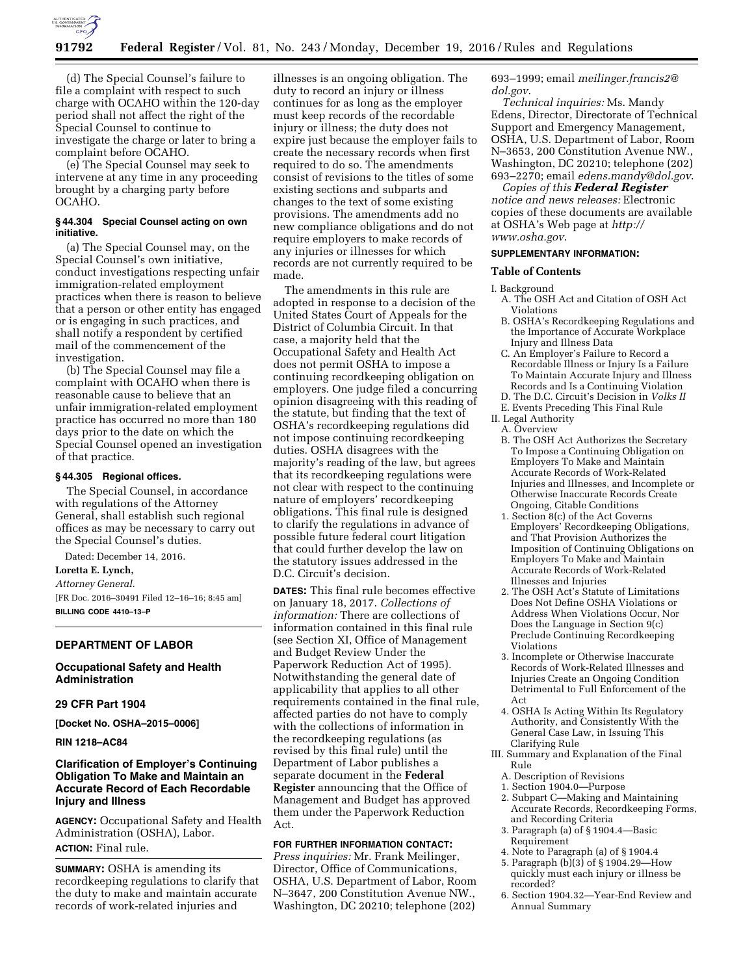

(d) The Special Counsel's failure to file a complaint with respect to such charge with OCAHO within the 120-day period shall not affect the right of the Special Counsel to continue to investigate the charge or later to bring a complaint before OCAHO.

(e) The Special Counsel may seek to intervene at any time in any proceeding brought by a charging party before OCAHO.

## **§ 44.304 Special Counsel acting on own initiative.**

(a) The Special Counsel may, on the Special Counsel's own initiative, conduct investigations respecting unfair immigration-related employment practices when there is reason to believe that a person or other entity has engaged or is engaging in such practices, and shall notify a respondent by certified mail of the commencement of the investigation.

(b) The Special Counsel may file a complaint with OCAHO when there is reasonable cause to believe that an unfair immigration-related employment practice has occurred no more than 180 days prior to the date on which the Special Counsel opened an investigation of that practice.

#### **§ 44.305 Regional offices.**

The Special Counsel, in accordance with regulations of the Attorney General, shall establish such regional offices as may be necessary to carry out the Special Counsel's duties.

Dated: December 14, 2016.

# **Loretta E. Lynch,**

*Attorney General.* 

[FR Doc. 2016–30491 Filed 12–16–16; 8:45 am] **BILLING CODE 4410–13–P** 

# **DEPARTMENT OF LABOR**

# **Occupational Safety and Health Administration**

#### **29 CFR Part 1904**

**[Docket No. OSHA–2015–0006]** 

**RIN 1218–AC84** 

# **Clarification of Employer's Continuing Obligation To Make and Maintain an Accurate Record of Each Recordable Injury and Illness**

**AGENCY:** Occupational Safety and Health Administration (OSHA), Labor. **ACTION:** Final rule.

**SUMMARY:** OSHA is amending its recordkeeping regulations to clarify that the duty to make and maintain accurate records of work-related injuries and

illnesses is an ongoing obligation. The duty to record an injury or illness continues for as long as the employer must keep records of the recordable injury or illness; the duty does not expire just because the employer fails to create the necessary records when first required to do so. The amendments consist of revisions to the titles of some existing sections and subparts and changes to the text of some existing provisions. The amendments add no new compliance obligations and do not require employers to make records of any injuries or illnesses for which records are not currently required to be made.

The amendments in this rule are adopted in response to a decision of the United States Court of Appeals for the District of Columbia Circuit. In that case, a majority held that the Occupational Safety and Health Act does not permit OSHA to impose a continuing recordkeeping obligation on employers. One judge filed a concurring opinion disagreeing with this reading of the statute, but finding that the text of OSHA's recordkeeping regulations did not impose continuing recordkeeping duties. OSHA disagrees with the majority's reading of the law, but agrees that its recordkeeping regulations were not clear with respect to the continuing nature of employers' recordkeeping obligations. This final rule is designed to clarify the regulations in advance of possible future federal court litigation that could further develop the law on the statutory issues addressed in the D.C. Circuit's decision.

**DATES:** This final rule becomes effective on January 18, 2017. *Collections of information:* There are collections of information contained in this final rule (see Section XI, Office of Management and Budget Review Under the Paperwork Reduction Act of 1995). Notwithstanding the general date of applicability that applies to all other requirements contained in the final rule, affected parties do not have to comply with the collections of information in the recordkeeping regulations (as revised by this final rule) until the Department of Labor publishes a separate document in the **Federal Register** announcing that the Office of Management and Budget has approved them under the Paperwork Reduction Act.

# **FOR FURTHER INFORMATION CONTACT:**

*Press inquiries:* Mr. Frank Meilinger, Director, Office of Communications, OSHA, U.S. Department of Labor, Room N–3647, 200 Constitution Avenue NW., Washington, DC 20210; telephone (202) 693–1999; email *[meilinger.francis2@](mailto:meilinger.francis2@dol.gov) [dol.gov](mailto:meilinger.francis2@dol.gov)*.

*Technical inquiries:* Ms. Mandy Edens, Director, Directorate of Technical Support and Emergency Management, OSHA, U.S. Department of Labor, Room N–3653, 200 Constitution Avenue NW., Washington, DC 20210; telephone (202) 693–2270; email *[edens.mandy@dol.gov](mailto:edens.mandy@dol.gov)*.

*Copies of this Federal Register notice and news releases:* Electronic copies of these documents are available at OSHA's Web page at *[http://](http://www.osha.gov) [www.osha.gov](http://www.osha.gov)*.

## **SUPPLEMENTARY INFORMATION:**

## **Table of Contents**

I. Background

- A. The OSH Act and Citation of OSH Act Violations
- B. OSHA's Recordkeeping Regulations and the Importance of Accurate Workplace Injury and Illness Data
- C. An Employer's Failure to Record a Recordable Illness or Injury Is a Failure To Maintain Accurate Injury and Illness Records and Is a Continuing Violation
- D. The D.C. Circuit's Decision in *Volks II*
- E. Events Preceding This Final Rule II. Legal Authority A. Overview
	- B. The OSH Act Authorizes the Secretary To Impose a Continuing Obligation on Employers To Make and Maintain Accurate Records of Work-Related Injuries and Illnesses, and Incomplete or Otherwise Inaccurate Records Create Ongoing, Citable Conditions
	- 1. Section 8(c) of the Act Governs Employers' Recordkeeping Obligations, and That Provision Authorizes the Imposition of Continuing Obligations on Employers To Make and Maintain Accurate Records of Work-Related Illnesses and Injuries
	- 2. The OSH Act's Statute of Limitations Does Not Define OSHA Violations or Address When Violations Occur, Nor Does the Language in Section 9(c) Preclude Continuing Recordkeeping Violations
	- 3. Incomplete or Otherwise Inaccurate Records of Work-Related Illnesses and Injuries Create an Ongoing Condition Detrimental to Full Enforcement of the Act
	- 4. OSHA Is Acting Within Its Regulatory Authority, and Consistently With the General Case Law, in Issuing This Clarifying Rule
- III. Summary and Explanation of the Final Rule
- A. Description of Revisions
- 1. Section 1904.0—Purpose 2. Subpart C—Making and Maintaining Accurate Records, Recordkeeping Forms,
- and Recording Criteria 3. Paragraph (a) of § 1904.4—Basic
- Requirement 4. Note to Paragraph (a) of § 1904.4
- 5. Paragraph (b)(3) of § 1904.29—How
- quickly must each injury or illness be recorded?
- 6. Section 1904.32—Year-End Review and Annual Summary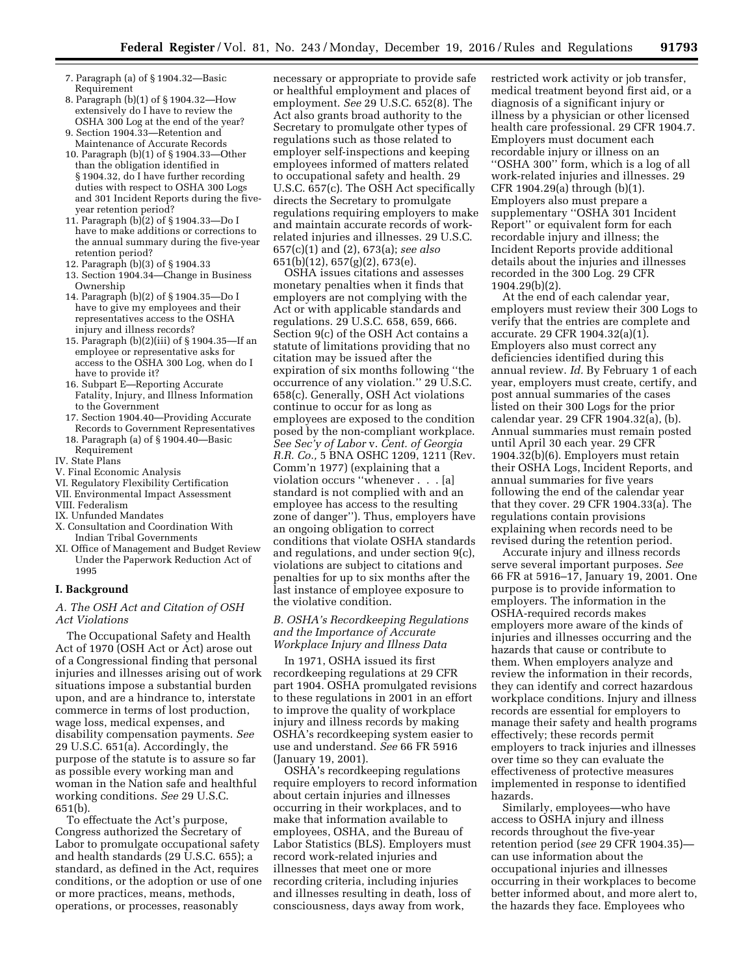- 7. Paragraph (a) of § 1904.32—Basic Requirement
- 8. Paragraph (b)(1) of § 1904.32—How extensively do I have to review the OSHA 300 Log at the end of the year?
- 9. Section 1904.33—Retention and Maintenance of Accurate Records
- 10. Paragraph (b)(1) of § 1904.33—Other than the obligation identified in § 1904.32, do I have further recording duties with respect to OSHA 300 Logs and 301 Incident Reports during the fiveyear retention period?
- 11. Paragraph (b)(2) of § 1904.33—Do I have to make additions or corrections to the annual summary during the five-year retention period?
- 12. Paragraph (b)(3) of § 1904.33
- 13. Section 1904.34—Change in Business Ownership
- 14. Paragraph (b)(2) of § 1904.35—Do I have to give my employees and their representatives access to the OSHA injury and illness records?
- 15. Paragraph (b)(2)(iii) of § 1904.35—If an employee or representative asks for access to the OSHA 300 Log, when do I have to provide it?
- 16. Subpart E—Reporting Accurate Fatality, Injury, and Illness Information to the Government
- 17. Section 1904.40—Providing Accurate Records to Government Representatives
- 18. Paragraph (a) of § 1904.40—Basic Requirement
- IV. State Plans
- V. Final Economic Analysis
- VI. Regulatory Flexibility Certification
- VII. Environmental Impact Assessment
- VIII. Federalism
- IX. Unfunded Mandates
- X. Consultation and Coordination With Indian Tribal Governments
- XI. Office of Management and Budget Review Under the Paperwork Reduction Act of 1995

#### **I. Background**

# *A. The OSH Act and Citation of OSH Act Violations*

The Occupational Safety and Health Act of 1970 (OSH Act or Act) arose out of a Congressional finding that personal injuries and illnesses arising out of work situations impose a substantial burden upon, and are a hindrance to, interstate commerce in terms of lost production, wage loss, medical expenses, and disability compensation payments. *See*  29 U.S.C. 651(a). Accordingly, the purpose of the statute is to assure so far as possible every working man and woman in the Nation safe and healthful working conditions. *See* 29 U.S.C. 651(b).

To effectuate the Act's purpose, Congress authorized the Secretary of Labor to promulgate occupational safety and health standards (29 U.S.C. 655); a standard, as defined in the Act, requires conditions, or the adoption or use of one or more practices, means, methods, operations, or processes, reasonably

necessary or appropriate to provide safe or healthful employment and places of employment. *See* 29 U.S.C. 652(8). The Act also grants broad authority to the Secretary to promulgate other types of regulations such as those related to employer self-inspections and keeping employees informed of matters related to occupational safety and health. 29 U.S.C. 657(c). The OSH Act specifically directs the Secretary to promulgate regulations requiring employers to make and maintain accurate records of workrelated injuries and illnesses. 29 U.S.C. 657(c)(1) and (2), 673(a); *see also*  651(b)(12), 657(g)(2), 673(e).

OSHA issues citations and assesses monetary penalties when it finds that employers are not complying with the Act or with applicable standards and regulations. 29 U.S.C. 658, 659, 666. Section 9(c) of the OSH Act contains a statute of limitations providing that no citation may be issued after the expiration of six months following ''the occurrence of any violation.'' 29 U.S.C. 658(c). Generally, OSH Act violations continue to occur for as long as employees are exposed to the condition posed by the non-compliant workplace. *See Sec'y of Labor* v. *Cent. of Georgia R.R. Co.,* 5 BNA OSHC 1209, 1211 (Rev. Comm'n 1977) (explaining that a violation occurs ''whenever . . . [a] standard is not complied with and an employee has access to the resulting zone of danger''). Thus, employers have an ongoing obligation to correct conditions that violate OSHA standards and regulations, and under section 9(c), violations are subject to citations and penalties for up to six months after the last instance of employee exposure to the violative condition.

## *B. OSHA's Recordkeeping Regulations and the Importance of Accurate Workplace Injury and Illness Data*

In 1971, OSHA issued its first recordkeeping regulations at 29 CFR part 1904. OSHA promulgated revisions to these regulations in 2001 in an effort to improve the quality of workplace injury and illness records by making OSHA's recordkeeping system easier to use and understand. *See* 66 FR 5916 (January 19, 2001).

OSHA's recordkeeping regulations require employers to record information about certain injuries and illnesses occurring in their workplaces, and to make that information available to employees, OSHA, and the Bureau of Labor Statistics (BLS). Employers must record work-related injuries and illnesses that meet one or more recording criteria, including injuries and illnesses resulting in death, loss of consciousness, days away from work,

restricted work activity or job transfer, medical treatment beyond first aid, or a diagnosis of a significant injury or illness by a physician or other licensed health care professional. 29 CFR 1904.7. Employers must document each recordable injury or illness on an ''OSHA 300'' form, which is a log of all work-related injuries and illnesses. 29 CFR 1904.29(a) through (b)(1). Employers also must prepare a supplementary ''OSHA 301 Incident Report'' or equivalent form for each recordable injury and illness; the Incident Reports provide additional details about the injuries and illnesses recorded in the 300 Log. 29 CFR 1904.29(b)(2).

At the end of each calendar year, employers must review their 300 Logs to verify that the entries are complete and accurate. 29 CFR 1904.32(a)(1). Employers also must correct any deficiencies identified during this annual review. *Id.* By February 1 of each year, employers must create, certify, and post annual summaries of the cases listed on their 300 Logs for the prior calendar year. 29 CFR 1904.32(a), (b). Annual summaries must remain posted until April 30 each year. 29 CFR 1904.32(b)(6). Employers must retain their OSHA Logs, Incident Reports, and annual summaries for five years following the end of the calendar year that they cover. 29 CFR 1904.33(a). The regulations contain provisions explaining when records need to be revised during the retention period.

Accurate injury and illness records serve several important purposes. *See*  66 FR at 5916–17, January 19, 2001. One purpose is to provide information to employers. The information in the OSHA-required records makes employers more aware of the kinds of injuries and illnesses occurring and the hazards that cause or contribute to them. When employers analyze and review the information in their records, they can identify and correct hazardous workplace conditions. Injury and illness records are essential for employers to manage their safety and health programs effectively; these records permit employers to track injuries and illnesses over time so they can evaluate the effectiveness of protective measures implemented in response to identified hazards.

Similarly, employees—who have access to OSHA injury and illness records throughout the five-year retention period (*see* 29 CFR 1904.35) can use information about the occupational injuries and illnesses occurring in their workplaces to become better informed about, and more alert to, the hazards they face. Employees who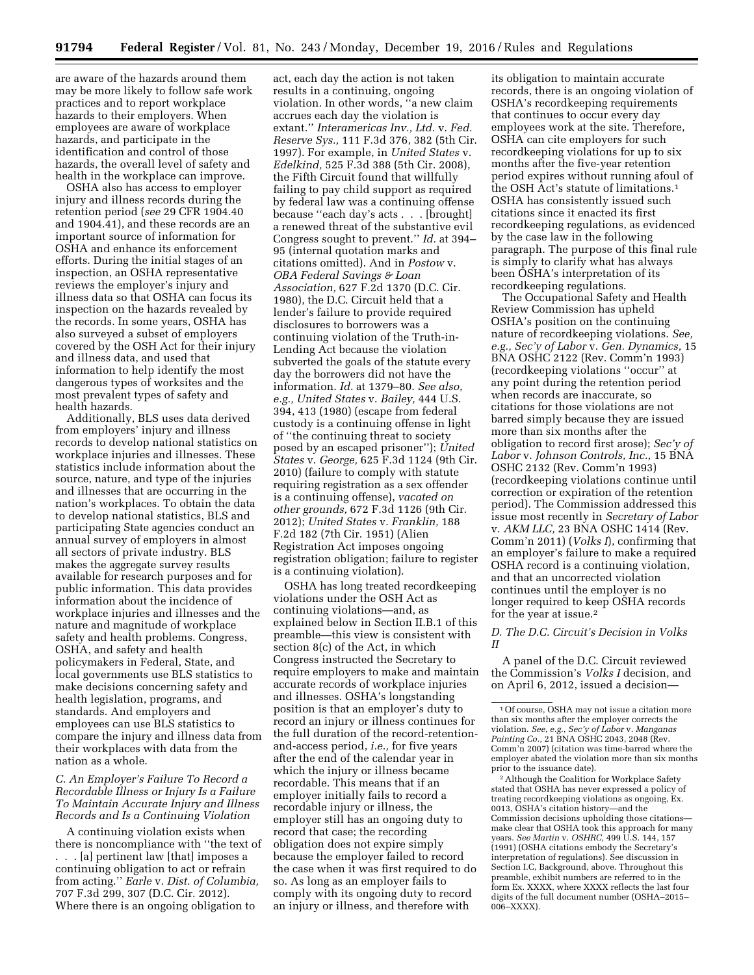are aware of the hazards around them may be more likely to follow safe work practices and to report workplace hazards to their employers. When employees are aware of workplace hazards, and participate in the identification and control of those hazards, the overall level of safety and health in the workplace can improve.

OSHA also has access to employer injury and illness records during the retention period (*see* 29 CFR 1904.40 and 1904.41), and these records are an important source of information for OSHA and enhance its enforcement efforts. During the initial stages of an inspection, an OSHA representative reviews the employer's injury and illness data so that OSHA can focus its inspection on the hazards revealed by the records. In some years, OSHA has also surveyed a subset of employers covered by the OSH Act for their injury and illness data, and used that information to help identify the most dangerous types of worksites and the most prevalent types of safety and health hazards.

Additionally, BLS uses data derived from employers' injury and illness records to develop national statistics on workplace injuries and illnesses. These statistics include information about the source, nature, and type of the injuries and illnesses that are occurring in the nation's workplaces. To obtain the data to develop national statistics, BLS and participating State agencies conduct an annual survey of employers in almost all sectors of private industry. BLS makes the aggregate survey results available for research purposes and for public information. This data provides information about the incidence of workplace injuries and illnesses and the nature and magnitude of workplace safety and health problems. Congress, OSHA, and safety and health policymakers in Federal, State, and local governments use BLS statistics to make decisions concerning safety and health legislation, programs, and standards. And employers and employees can use BLS statistics to compare the injury and illness data from their workplaces with data from the nation as a whole.

# *C. An Employer's Failure To Record a Recordable Illness or Injury Is a Failure To Maintain Accurate Injury and Illness Records and Is a Continuing Violation*

A continuing violation exists when there is noncompliance with ''the text of . . . [a] pertinent law [that] imposes a continuing obligation to act or refrain from acting.'' *Earle* v. *Dist. of Columbia,*  707 F.3d 299, 307 (D.C. Cir. 2012). Where there is an ongoing obligation to

act, each day the action is not taken results in a continuing, ongoing violation. In other words, ''a new claim accrues each day the violation is extant.'' *Interamericas Inv., Ltd.* v. *Fed. Reserve Sys.,* 111 F.3d 376, 382 (5th Cir. 1997). For example, in *United States* v. *Edelkind,* 525 F.3d 388 (5th Cir. 2008), the Fifth Circuit found that willfully failing to pay child support as required by federal law was a continuing offense because ''each day's acts . . . [brought] a renewed threat of the substantive evil Congress sought to prevent.'' *Id.* at 394– 95 (internal quotation marks and citations omitted). And in *Postow* v. *OBA Federal Savings & Loan Association,* 627 F.2d 1370 (D.C. Cir. 1980), the D.C. Circuit held that a lender's failure to provide required disclosures to borrowers was a continuing violation of the Truth-in-Lending Act because the violation subverted the goals of the statute every day the borrowers did not have the information. *Id.* at 1379–80. *See also, e.g., United States* v. *Bailey,* 444 U.S. 394, 413 (1980) (escape from federal custody is a continuing offense in light of ''the continuing threat to society posed by an escaped prisoner''); *United States* v. *George,* 625 F.3d 1124 (9th Cir. 2010) (failure to comply with statute requiring registration as a sex offender is a continuing offense), *vacated on other grounds,* 672 F.3d 1126 (9th Cir. 2012); *United States* v. *Franklin,* 188 F.2d 182 (7th Cir. 1951) (Alien Registration Act imposes ongoing registration obligation; failure to register is a continuing violation).

OSHA has long treated recordkeeping violations under the OSH Act as continuing violations—and, as explained below in Section II.B.1 of this preamble—this view is consistent with section 8(c) of the Act, in which Congress instructed the Secretary to require employers to make and maintain accurate records of workplace injuries and illnesses. OSHA's longstanding position is that an employer's duty to record an injury or illness continues for the full duration of the record-retentionand-access period, *i.e.,* for five years after the end of the calendar year in which the injury or illness became recordable. This means that if an employer initially fails to record a recordable injury or illness, the employer still has an ongoing duty to record that case; the recording obligation does not expire simply because the employer failed to record the case when it was first required to do so. As long as an employer fails to comply with its ongoing duty to record an injury or illness, and therefore with

its obligation to maintain accurate records, there is an ongoing violation of OSHA's recordkeeping requirements that continues to occur every day employees work at the site. Therefore, OSHA can cite employers for such recordkeeping violations for up to six months after the five-year retention period expires without running afoul of the OSH Act's statute of limitations.1 OSHA has consistently issued such citations since it enacted its first recordkeeping regulations, as evidenced by the case law in the following paragraph. The purpose of this final rule is simply to clarify what has always been OSHA's interpretation of its recordkeeping regulations.

The Occupational Safety and Health Review Commission has upheld OSHA's position on the continuing nature of recordkeeping violations. *See, e.g., Sec'y of Labor* v. *Gen. Dynamics,* 15 BNA OSHC 2122 (Rev. Comm'n 1993) (recordkeeping violations ''occur'' at any point during the retention period when records are inaccurate, so citations for those violations are not barred simply because they are issued more than six months after the obligation to record first arose); *Sec'y of Labor* v. *Johnson Controls, Inc.,* 15 BNA OSHC 2132 (Rev. Comm'n 1993) (recordkeeping violations continue until correction or expiration of the retention period). The Commission addressed this issue most recently in *Secretary of Labor*  v. *AKM LLC,* 23 BNA OSHC 1414 (Rev. Comm'n 2011) (*Volks I*), confirming that an employer's failure to make a required OSHA record is a continuing violation, and that an uncorrected violation continues until the employer is no longer required to keep OSHA records for the year at issue.2

### *D. The D.C. Circuit's Decision in Volks II*

A panel of the D.C. Circuit reviewed the Commission's *Volks I* decision, and on April 6, 2012, issued a decision—

2Although the Coalition for Workplace Safety stated that OSHA has never expressed a policy of treating recordkeeping violations as ongoing, Ex. 0013, OSHA's citation history—and the Commission decisions upholding those citations make clear that OSHA took this approach for many years. *See Martin* v. *OSHRC,* 499 U.S. 144, 157 (1991) (OSHA citations embody the Secretary's interpretation of regulations). See discussion in Section I.C, Background, above. Throughout this preamble, exhibit numbers are referred to in the form Ex. XXXX, where XXXX reflects the last four digits of the full document number (OSHA–2015– 006–XXXX).

<sup>1</sup>Of course, OSHA may not issue a citation more than six months after the employer corrects the violation. *See, e.g., Sec'y of Labor* v. *Manganas Painting Co.,* 21 BNA OSHC 2043, 2048 (Rev. Comm'n 2007) (citation was time-barred where the employer abated the violation more than six months prior to the issuance date).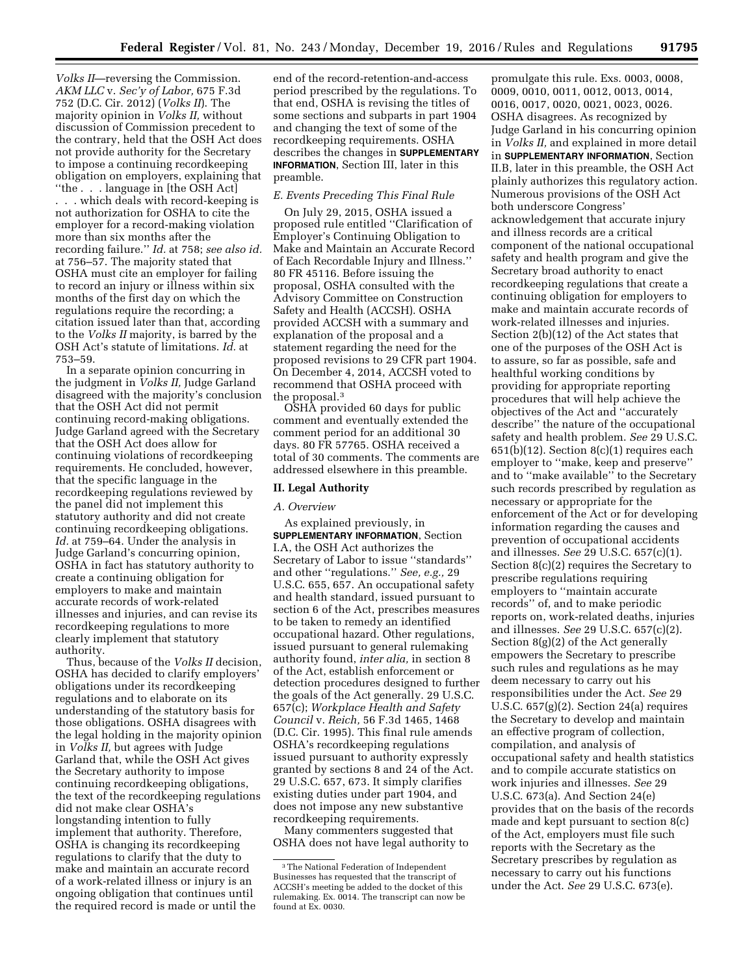*Volks II*—reversing the Commission. *AKM LLC* v. *Sec'y of Labor,* 675 F.3d 752 (D.C. Cir. 2012) (*Volks II*). The majority opinion in *Volks II,* without discussion of Commission precedent to the contrary, held that the OSH Act does not provide authority for the Secretary to impose a continuing recordkeeping obligation on employers, explaining that ''the . . . language in [the OSH Act] . . . which deals with record-keeping is not authorization for OSHA to cite the employer for a record-making violation more than six months after the recording failure.'' *Id.* at 758; *see also id.*  at 756–57. The majority stated that OSHA must cite an employer for failing to record an injury or illness within six months of the first day on which the regulations require the recording; a citation issued later than that, according to the *Volks II* majority, is barred by the OSH Act's statute of limitations. *Id.* at 753–59.

In a separate opinion concurring in the judgment in *Volks II,* Judge Garland disagreed with the majority's conclusion that the OSH Act did not permit continuing record-making obligations. Judge Garland agreed with the Secretary that the OSH Act does allow for continuing violations of recordkeeping requirements. He concluded, however, that the specific language in the recordkeeping regulations reviewed by the panel did not implement this statutory authority and did not create continuing recordkeeping obligations. *Id.* at 759–64. Under the analysis in Judge Garland's concurring opinion, OSHA in fact has statutory authority to create a continuing obligation for employers to make and maintain accurate records of work-related illnesses and injuries, and can revise its recordkeeping regulations to more clearly implement that statutory authority.

Thus, because of the *Volks II* decision, OSHA has decided to clarify employers' obligations under its recordkeeping regulations and to elaborate on its understanding of the statutory basis for those obligations. OSHA disagrees with the legal holding in the majority opinion in *Volks II,* but agrees with Judge Garland that, while the OSH Act gives the Secretary authority to impose continuing recordkeeping obligations, the text of the recordkeeping regulations did not make clear OSHA's longstanding intention to fully implement that authority. Therefore, OSHA is changing its recordkeeping regulations to clarify that the duty to make and maintain an accurate record of a work-related illness or injury is an ongoing obligation that continues until the required record is made or until the

end of the record-retention-and-access period prescribed by the regulations. To that end, OSHA is revising the titles of some sections and subparts in part 1904 and changing the text of some of the recordkeeping requirements. OSHA describes the changes in **SUPPLEMENTARY INFORMATION**, Section III, later in this preamble.

# *E. Events Preceding This Final Rule*

On July 29, 2015, OSHA issued a proposed rule entitled ''Clarification of Employer's Continuing Obligation to Make and Maintain an Accurate Record of Each Recordable Injury and Illness.'' 80 FR 45116. Before issuing the proposal, OSHA consulted with the Advisory Committee on Construction Safety and Health (ACCSH). OSHA provided ACCSH with a summary and explanation of the proposal and a statement regarding the need for the proposed revisions to 29 CFR part 1904. On December 4, 2014, ACCSH voted to recommend that OSHA proceed with the proposal.3

OSHA provided 60 days for public comment and eventually extended the comment period for an additional 30 days. 80 FR 57765. OSHA received a total of 30 comments. The comments are addressed elsewhere in this preamble.

#### **II. Legal Authority**

#### *A. Overview*

As explained previously, in **SUPPLEMENTARY INFORMATION**, Section I.A, the OSH Act authorizes the Secretary of Labor to issue ''standards'' and other ''regulations.'' *See, e.g.,* 29 U.S.C. 655, 657. An occupational safety and health standard, issued pursuant to section 6 of the Act, prescribes measures to be taken to remedy an identified occupational hazard. Other regulations, issued pursuant to general rulemaking authority found, *inter alia,* in section 8 of the Act, establish enforcement or detection procedures designed to further the goals of the Act generally. 29 U.S.C. 657(c); *Workplace Health and Safety Council* v. *Reich,* 56 F.3d 1465, 1468 (D.C. Cir. 1995). This final rule amends OSHA's recordkeeping regulations issued pursuant to authority expressly granted by sections 8 and 24 of the Act. 29 U.S.C. 657, 673. It simply clarifies existing duties under part 1904, and does not impose any new substantive recordkeeping requirements.

Many commenters suggested that OSHA does not have legal authority to

promulgate this rule. Exs. 0003, 0008, 0009, 0010, 0011, 0012, 0013, 0014, 0016, 0017, 0020, 0021, 0023, 0026. OSHA disagrees. As recognized by Judge Garland in his concurring opinion in *Volks II,* and explained in more detail in **SUPPLEMENTARY INFORMATION**, Section II.B, later in this preamble, the OSH Act plainly authorizes this regulatory action. Numerous provisions of the OSH Act both underscore Congress' acknowledgement that accurate injury and illness records are a critical component of the national occupational safety and health program and give the Secretary broad authority to enact recordkeeping regulations that create a continuing obligation for employers to make and maintain accurate records of work-related illnesses and injuries. Section 2(b)(12) of the Act states that one of the purposes of the OSH Act is to assure, so far as possible, safe and healthful working conditions by providing for appropriate reporting procedures that will help achieve the objectives of the Act and ''accurately describe'' the nature of the occupational safety and health problem. *See* 29 U.S.C.  $651(b)(12)$ . Section  $8(c)(1)$  requires each employer to ''make, keep and preserve'' and to ''make available'' to the Secretary such records prescribed by regulation as necessary or appropriate for the enforcement of the Act or for developing information regarding the causes and prevention of occupational accidents and illnesses. *See* 29 U.S.C. 657(c)(1). Section 8(c)(2) requires the Secretary to prescribe regulations requiring employers to ''maintain accurate records'' of, and to make periodic reports on, work-related deaths, injuries and illnesses. *See* 29 U.S.C. 657(c)(2). Section 8(g)(2) of the Act generally empowers the Secretary to prescribe such rules and regulations as he may deem necessary to carry out his responsibilities under the Act. *See* 29 U.S.C. 657(g)(2). Section 24(a) requires the Secretary to develop and maintain an effective program of collection, compilation, and analysis of occupational safety and health statistics and to compile accurate statistics on work injuries and illnesses. *See* 29 U.S.C. 673(a). And Section 24(e) provides that on the basis of the records made and kept pursuant to section 8(c) of the Act, employers must file such reports with the Secretary as the Secretary prescribes by regulation as necessary to carry out his functions under the Act. *See* 29 U.S.C. 673(e).

<sup>3</sup>The National Federation of Independent Businesses has requested that the transcript of ACCSH's meeting be added to the docket of this rulemaking. Ex. 0014. The transcript can now be found at Ex. 0030.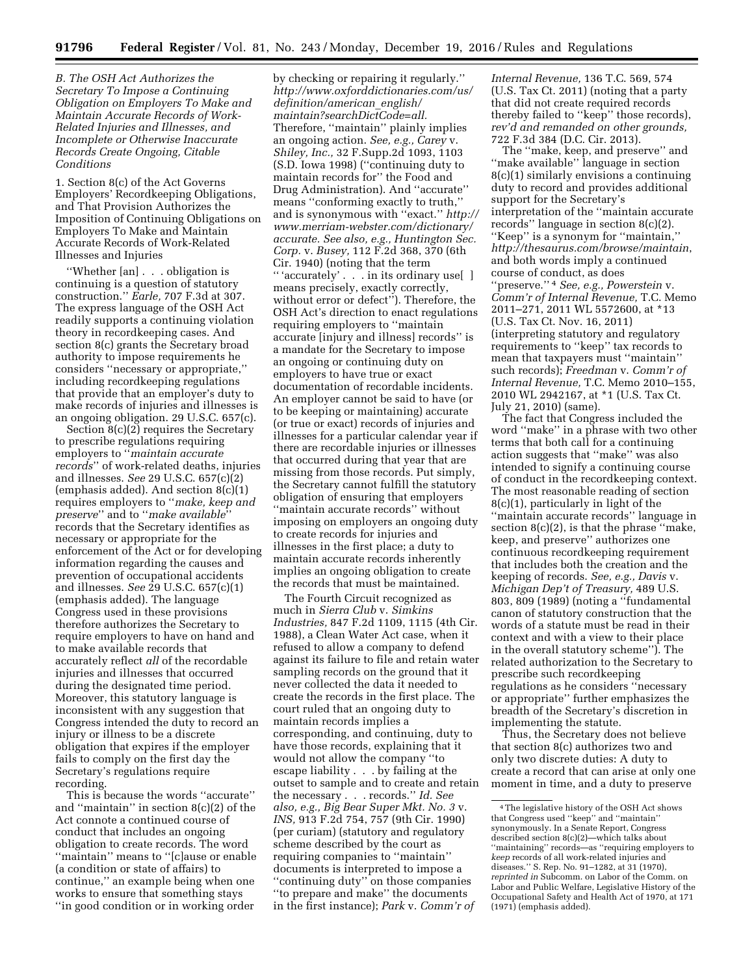*B. The OSH Act Authorizes the Secretary To Impose a Continuing Obligation on Employers To Make and Maintain Accurate Records of Work-Related Injuries and Illnesses, and Incomplete or Otherwise Inaccurate Records Create Ongoing, Citable Conditions* 

1. Section 8(c) of the Act Governs Employers' Recordkeeping Obligations, and That Provision Authorizes the Imposition of Continuing Obligations on Employers To Make and Maintain Accurate Records of Work-Related Illnesses and Injuries

''Whether [an] . . . obligation is continuing is a question of statutory construction.'' *Earle,* 707 F.3d at 307. The express language of the OSH Act readily supports a continuing violation theory in recordkeeping cases. And section 8(c) grants the Secretary broad authority to impose requirements he considers ''necessary or appropriate,'' including recordkeeping regulations that provide that an employer's duty to make records of injuries and illnesses is an ongoing obligation. 29 U.S.C. 657(c).

Section  $8(c)(2)$  requires the Secretary to prescribe regulations requiring employers to ''*maintain accurate records*'' of work-related deaths, injuries and illnesses. *See* 29 U.S.C. 657(c)(2) (emphasis added). And section 8(c)(1) requires employers to ''*make, keep and preserve*'' and to ''*make available*'' records that the Secretary identifies as necessary or appropriate for the enforcement of the Act or for developing information regarding the causes and prevention of occupational accidents and illnesses. *See* 29 U.S.C. 657(c)(1) (emphasis added). The language Congress used in these provisions therefore authorizes the Secretary to require employers to have on hand and to make available records that accurately reflect *all* of the recordable injuries and illnesses that occurred during the designated time period. Moreover, this statutory language is inconsistent with any suggestion that Congress intended the duty to record an injury or illness to be a discrete obligation that expires if the employer fails to comply on the first day the Secretary's regulations require recording.

This is because the words ''accurate'' and ''maintain'' in section 8(c)(2) of the Act connote a continued course of conduct that includes an ongoing obligation to create records. The word ''maintain'' means to ''[c]ause or enable (a condition or state of affairs) to continue,'' an example being when one works to ensure that something stays ''in good condition or in working order

by checking or repairing it regularly.'' *[http://www.oxforddictionaries.com/us/](http://www.oxforddictionaries.com/us/definition/american_english/maintain?searchDictCode=all) [definition/american](http://www.oxforddictionaries.com/us/definition/american_english/maintain?searchDictCode=all)*\_*english/ [maintain?searchDictCode=all.](http://www.oxforddictionaries.com/us/definition/american_english/maintain?searchDictCode=all)*  Therefore, ''maintain'' plainly implies an ongoing action. *See, e.g., Carey* v. *Shiley, Inc.,* 32 F.Supp.2d 1093, 1103 (S.D. Iowa 1998) (''continuing duty to maintain records for'' the Food and Drug Administration). And ''accurate'' means ''conforming exactly to truth,'' and is synonymous with ''exact.'' *[http://](http://www.merriam-webster.com/dictionary/accurate)  [www.merriam-webster.com/dictionary/](http://www.merriam-webster.com/dictionary/accurate) [accurate.](http://www.merriam-webster.com/dictionary/accurate) See also, e.g., Huntington Sec. Corp.* v. *Busey,* 112 F.2d 368, 370 (6th Cir. 1940) (noting that the term '' 'accurately' . . . in its ordinary use[ ] means precisely, exactly correctly, without error or defect''). Therefore, the OSH Act's direction to enact regulations requiring employers to ''maintain accurate [injury and illness] records'' is a mandate for the Secretary to impose an ongoing or continuing duty on employers to have true or exact documentation of recordable incidents. An employer cannot be said to have (or to be keeping or maintaining) accurate (or true or exact) records of injuries and illnesses for a particular calendar year if there are recordable injuries or illnesses that occurred during that year that are missing from those records. Put simply, the Secretary cannot fulfill the statutory obligation of ensuring that employers ''maintain accurate records'' without imposing on employers an ongoing duty to create records for injuries and illnesses in the first place; a duty to maintain accurate records inherently implies an ongoing obligation to create the records that must be maintained.

The Fourth Circuit recognized as much in *Sierra Club* v. *Simkins Industries,* 847 F.2d 1109, 1115 (4th Cir. 1988), a Clean Water Act case, when it refused to allow a company to defend against its failure to file and retain water sampling records on the ground that it never collected the data it needed to create the records in the first place. The court ruled that an ongoing duty to maintain records implies a corresponding, and continuing, duty to have those records, explaining that it would not allow the company ''to escape liability . . . by failing at the outset to sample and to create and retain the necessary . . . records.'' *Id. See also, e.g., Big Bear Super Mkt. No. 3* v. *INS,* 913 F.2d 754, 757 (9th Cir. 1990) (per curiam) (statutory and regulatory scheme described by the court as requiring companies to ''maintain'' documents is interpreted to impose a ''continuing duty'' on those companies ''to prepare and make'' the documents in the first instance); *Park* v. *Comm'r of* 

*Internal Revenue,* 136 T.C. 569, 574 (U.S. Tax Ct. 2011) (noting that a party that did not create required records thereby failed to ''keep'' those records), *rev'd and remanded on other grounds,*  722 F.3d 384 (D.C. Cir. 2013).

The ''make, keep, and preserve'' and ''make available'' language in section 8(c)(1) similarly envisions a continuing duty to record and provides additional support for the Secretary's interpretation of the ''maintain accurate records'' language in section 8(c)(2). ''Keep'' is a synonym for ''maintain,'' *<http://thesaurus.com/browse/maintain>*, and both words imply a continued course of conduct, as does ''preserve.'' 4 *See, e.g., Powerstein* v. *Comm'r of Internal Revenue,* T.C. Memo 2011–271, 2011 WL 5572600, at \*13 (U.S. Tax Ct. Nov. 16, 2011) (interpreting statutory and regulatory requirements to ''keep'' tax records to mean that taxpayers must ''maintain'' such records); *Freedman* v. *Comm'r of Internal Revenue,* T.C. Memo 2010–155, 2010 WL 2942167, at \*1 (U.S. Tax Ct. July 21, 2010) (same).

The fact that Congress included the word ''make'' in a phrase with two other terms that both call for a continuing action suggests that ''make'' was also intended to signify a continuing course of conduct in the recordkeeping context. The most reasonable reading of section 8(c)(1), particularly in light of the ''maintain accurate records'' language in section  $8(c)(2)$ , is that the phrase "make, keep, and preserve'' authorizes one continuous recordkeeping requirement that includes both the creation and the keeping of records. *See, e.g., Davis* v. *Michigan Dep't of Treasury,* 489 U.S. 803, 809 (1989) (noting a ''fundamental canon of statutory construction that the words of a statute must be read in their context and with a view to their place in the overall statutory scheme''). The related authorization to the Secretary to prescribe such recordkeeping regulations as he considers ''necessary or appropriate'' further emphasizes the breadth of the Secretary's discretion in implementing the statute.

Thus, the Secretary does not believe that section 8(c) authorizes two and only two discrete duties: A duty to create a record that can arise at only one moment in time, and a duty to preserve

<sup>4</sup>The legislative history of the OSH Act shows that Congress used ''keep'' and ''maintain'' synonymously. In a Senate Report, Congress described section 8(c)(2)—which talks about ''maintaining'' records—as ''requiring employers to *keep* records of all work-related injuries and diseases.'' S. Rep. No. 91–1282, at 31 (1970), *reprinted in* Subcomm. on Labor of the Comm. on Labor and Public Welfare, Legislative History of the Occupational Safety and Health Act of 1970, at 171 (1971) (emphasis added).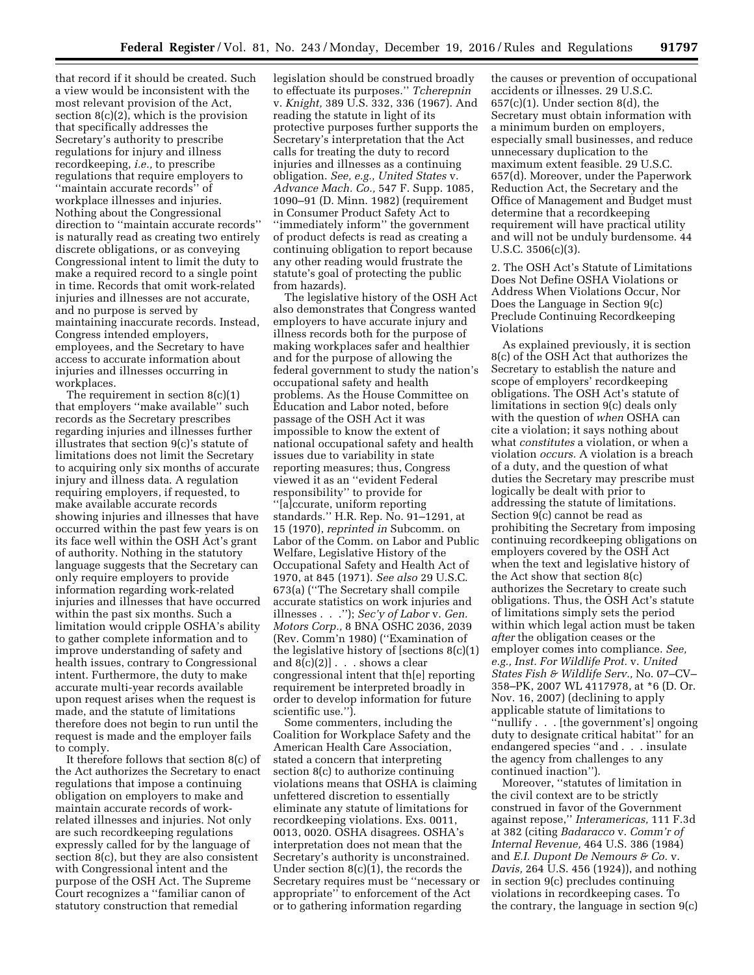that record if it should be created. Such a view would be inconsistent with the most relevant provision of the Act, section 8(c)(2), which is the provision that specifically addresses the Secretary's authority to prescribe regulations for injury and illness recordkeeping, *i.e.,* to prescribe regulations that require employers to ''maintain accurate records'' of workplace illnesses and injuries. Nothing about the Congressional direction to ''maintain accurate records'' is naturally read as creating two entirely discrete obligations, or as conveying Congressional intent to limit the duty to make a required record to a single point in time. Records that omit work-related injuries and illnesses are not accurate, and no purpose is served by maintaining inaccurate records. Instead, Congress intended employers, employees, and the Secretary to have access to accurate information about injuries and illnesses occurring in workplaces.

The requirement in section 8(c)(1) that employers ''make available'' such records as the Secretary prescribes regarding injuries and illnesses further illustrates that section 9(c)'s statute of limitations does not limit the Secretary to acquiring only six months of accurate injury and illness data. A regulation requiring employers, if requested, to make available accurate records showing injuries and illnesses that have occurred within the past few years is on its face well within the OSH Act's grant of authority. Nothing in the statutory language suggests that the Secretary can only require employers to provide information regarding work-related injuries and illnesses that have occurred within the past six months. Such a limitation would cripple OSHA's ability to gather complete information and to improve understanding of safety and health issues, contrary to Congressional intent. Furthermore, the duty to make accurate multi-year records available upon request arises when the request is made, and the statute of limitations therefore does not begin to run until the request is made and the employer fails to comply.

It therefore follows that section 8(c) of the Act authorizes the Secretary to enact regulations that impose a continuing obligation on employers to make and maintain accurate records of workrelated illnesses and injuries. Not only are such recordkeeping regulations expressly called for by the language of section 8(c), but they are also consistent with Congressional intent and the purpose of the OSH Act. The Supreme Court recognizes a ''familiar canon of statutory construction that remedial

legislation should be construed broadly to effectuate its purposes.'' *Tcherepnin*  v. *Knight,* 389 U.S. 332, 336 (1967). And reading the statute in light of its protective purposes further supports the Secretary's interpretation that the Act calls for treating the duty to record injuries and illnesses as a continuing obligation. *See, e.g., United States* v. *Advance Mach. Co.,* 547 F. Supp. 1085, 1090–91 (D. Minn. 1982) (requirement in Consumer Product Safety Act to ''immediately inform'' the government of product defects is read as creating a continuing obligation to report because any other reading would frustrate the statute's goal of protecting the public from hazards).

The legislative history of the OSH Act also demonstrates that Congress wanted employers to have accurate injury and illness records both for the purpose of making workplaces safer and healthier and for the purpose of allowing the federal government to study the nation's occupational safety and health problems. As the House Committee on Education and Labor noted, before passage of the OSH Act it was impossible to know the extent of national occupational safety and health issues due to variability in state reporting measures; thus, Congress viewed it as an ''evident Federal responsibility'' to provide for ''[a]ccurate, uniform reporting standards.'' H.R. Rep. No. 91–1291, at 15 (1970), *reprinted in* Subcomm. on Labor of the Comm. on Labor and Public Welfare, Legislative History of the Occupational Safety and Health Act of 1970, at 845 (1971). *See also* 29 U.S.C. 673(a) (''The Secretary shall compile accurate statistics on work injuries and illnesses . . .''); *Sec'y of Labor* v. *Gen. Motors Corp.,* 8 BNA OSHC 2036, 2039 (Rev. Comm'n 1980) (''Examination of the legislative history of [sections 8(c)(1) and  $8(c)(2)$ .  $\ldots$  shows a clear congressional intent that th[e] reporting requirement be interpreted broadly in order to develop information for future scientific use.'').

Some commenters, including the Coalition for Workplace Safety and the American Health Care Association, stated a concern that interpreting section 8(c) to authorize continuing violations means that OSHA is claiming unfettered discretion to essentially eliminate any statute of limitations for recordkeeping violations. Exs. 0011, 0013, 0020. OSHA disagrees. OSHA's interpretation does not mean that the Secretary's authority is unconstrained. Under section 8(c)(1), the records the Secretary requires must be ''necessary or appropriate'' to enforcement of the Act or to gathering information regarding

the causes or prevention of occupational accidents or illnesses. 29 U.S.C.  $657(c)(1)$ . Under section  $8(d)$ , the Secretary must obtain information with a minimum burden on employers, especially small businesses, and reduce unnecessary duplication to the maximum extent feasible. 29 U.S.C. 657(d). Moreover, under the Paperwork Reduction Act, the Secretary and the Office of Management and Budget must determine that a recordkeeping requirement will have practical utility and will not be unduly burdensome. 44 U.S.C. 3506(c)(3).

2. The OSH Act's Statute of Limitations Does Not Define OSHA Violations or Address When Violations Occur, Nor Does the Language in Section 9(c) Preclude Continuing Recordkeeping Violations

As explained previously, it is section 8(c) of the OSH Act that authorizes the Secretary to establish the nature and scope of employers' recordkeeping obligations. The OSH Act's statute of limitations in section 9(c) deals only with the question of *when* OSHA can cite a violation; it says nothing about what *constitutes* a violation, or when a violation *occurs.* A violation is a breach of a duty, and the question of what duties the Secretary may prescribe must logically be dealt with prior to addressing the statute of limitations. Section 9(c) cannot be read as prohibiting the Secretary from imposing continuing recordkeeping obligations on employers covered by the OSH Act when the text and legislative history of the Act show that section 8(c) authorizes the Secretary to create such obligations. Thus, the OSH Act's statute of limitations simply sets the period within which legal action must be taken *after* the obligation ceases or the employer comes into compliance. *See, e.g., Inst. For Wildlife Prot.* v. *United States Fish & Wildlife Serv.,* No. 07–CV– 358–PK, 2007 WL 4117978, at \*6 (D. Or. Nov. 16, 2007) (declining to apply applicable statute of limitations to ''nullify . . . [the government's] ongoing duty to designate critical habitat'' for an endangered species ''and . . . insulate the agency from challenges to any continued inaction'').

Moreover, ''statutes of limitation in the civil context are to be strictly construed in favor of the Government against repose,'' *Interamericas,* 111 F.3d at 382 (citing *Badaracco* v. *Comm'r of Internal Revenue,* 464 U.S. 386 (1984) and *E.I. Dupont De Nemours & Co.* v. *Davis,* 264 U.S. 456 (1924)), and nothing in section 9(c) precludes continuing violations in recordkeeping cases. To the contrary, the language in section 9(c)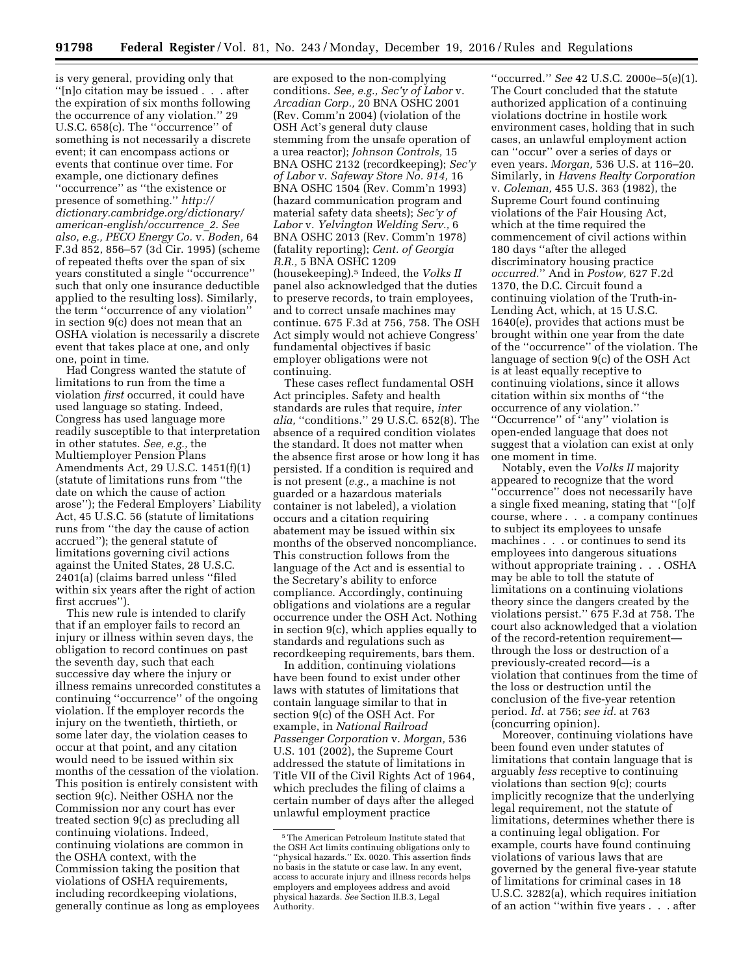is very general, providing only that ''[n]o citation may be issued . . . after the expiration of six months following the occurrence of any violation.'' 29 U.S.C. 658(c). The ''occurrence'' of something is not necessarily a discrete event; it can encompass actions or events that continue over time. For example, one dictionary defines ''occurrence'' as ''the existence or presence of something.'' *[http://](http://dictionary.cambridge.org/dictionary/american-english/occurrence_2) [dictionary.cambridge.org/dictionary/](http://dictionary.cambridge.org/dictionary/american-english/occurrence_2) [american-english/occurrence](http://dictionary.cambridge.org/dictionary/american-english/occurrence_2)*\_*2*. *See also, e.g., PECO Energy Co.* v. *Boden,* 64 F.3d 852, 856–57 (3d Cir. 1995) (scheme of repeated thefts over the span of six years constituted a single ''occurrence'' such that only one insurance deductible applied to the resulting loss). Similarly, the term ''occurrence of any violation'' in section 9(c) does not mean that an OSHA violation is necessarily a discrete event that takes place at one, and only one, point in time.

Had Congress wanted the statute of limitations to run from the time a violation *first* occurred, it could have used language so stating. Indeed, Congress has used language more readily susceptible to that interpretation in other statutes. *See, e.g.,* the Multiemployer Pension Plans Amendments Act, 29 U.S.C. 1451(f)(1) (statute of limitations runs from ''the date on which the cause of action arose''); the Federal Employers' Liability Act, 45 U.S.C. 56 (statute of limitations runs from ''the day the cause of action accrued''); the general statute of limitations governing civil actions against the United States, 28 U.S.C. 2401(a) (claims barred unless ''filed within six years after the right of action first accrues").

This new rule is intended to clarify that if an employer fails to record an injury or illness within seven days, the obligation to record continues on past the seventh day, such that each successive day where the injury or illness remains unrecorded constitutes a continuing ''occurrence'' of the ongoing violation. If the employer records the injury on the twentieth, thirtieth, or some later day, the violation ceases to occur at that point, and any citation would need to be issued within six months of the cessation of the violation. This position is entirely consistent with section 9(c). Neither OSHA nor the Commission nor any court has ever treated section 9(c) as precluding all continuing violations. Indeed, continuing violations are common in the OSHA context, with the Commission taking the position that violations of OSHA requirements, including recordkeeping violations, generally continue as long as employees

are exposed to the non-complying conditions. *See, e.g., Sec'y of Labor* v. *Arcadian Corp.,* 20 BNA OSHC 2001 (Rev. Comm'n 2004) (violation of the OSH Act's general duty clause stemming from the unsafe operation of a urea reactor); *Johnson Controls,* 15 BNA OSHC 2132 (recordkeeping); *Sec'y of Labor* v. *Safeway Store No. 914,* 16 BNA OSHC 1504 (Rev. Comm'n 1993) (hazard communication program and material safety data sheets); *Sec'y of Labor* v. *Yelvington Welding Serv.,* 6 BNA OSHC 2013 (Rev. Comm'n 1978) (fatality reporting); *Cent. of Georgia R.R.,* 5 BNA OSHC 1209 (housekeeping).5 Indeed, the *Volks II*  panel also acknowledged that the duties to preserve records, to train employees, and to correct unsafe machines may continue. 675 F.3d at 756, 758. The OSH Act simply would not achieve Congress' fundamental objectives if basic employer obligations were not continuing.

These cases reflect fundamental OSH Act principles. Safety and health standards are rules that require, *inter alia,* ''conditions.'' 29 U.S.C. 652(8). The absence of a required condition violates the standard. It does not matter when the absence first arose or how long it has persisted. If a condition is required and is not present (*e.g.,* a machine is not guarded or a hazardous materials container is not labeled), a violation occurs and a citation requiring abatement may be issued within six months of the observed noncompliance. This construction follows from the language of the Act and is essential to the Secretary's ability to enforce compliance. Accordingly, continuing obligations and violations are a regular occurrence under the OSH Act. Nothing in section 9(c), which applies equally to standards and regulations such as recordkeeping requirements, bars them.

In addition, continuing violations have been found to exist under other laws with statutes of limitations that contain language similar to that in section 9(c) of the OSH Act. For example, in *National Railroad Passenger Corporation* v. *Morgan,* 536 U.S. 101 (2002), the Supreme Court addressed the statute of limitations in Title VII of the Civil Rights Act of 1964, which precludes the filing of claims a certain number of days after the alleged unlawful employment practice

''occurred.'' *See* 42 U.S.C. 2000e–5(e)(1). The Court concluded that the statute authorized application of a continuing violations doctrine in hostile work environment cases, holding that in such cases, an unlawful employment action can ''occur'' over a series of days or even years. *Morgan,* 536 U.S. at 116–20. Similarly, in *Havens Realty Corporation*  v. *Coleman,* 455 U.S. 363 (1982), the Supreme Court found continuing violations of the Fair Housing Act, which at the time required the commencement of civil actions within 180 days ''after the alleged discriminatory housing practice *occurred.*'' And in *Postow,* 627 F.2d 1370, the D.C. Circuit found a continuing violation of the Truth-in-Lending Act, which, at 15 U.S.C. 1640(e), provides that actions must be brought within one year from the date of the ''occurrence'' of the violation. The language of section 9(c) of the OSH Act is at least equally receptive to continuing violations, since it allows citation within six months of ''the occurrence of any violation.'' ''Occurrence'' of ''any'' violation is open-ended language that does not suggest that a violation can exist at only one moment in time.

Notably, even the *Volks II* majority appeared to recognize that the word ''occurrence'' does not necessarily have a single fixed meaning, stating that ''[o]f course, where . . . a company continues to subject its employees to unsafe machines . . . or continues to send its employees into dangerous situations without appropriate training . . . OSHA may be able to toll the statute of limitations on a continuing violations theory since the dangers created by the violations persist.'' 675 F.3d at 758. The court also acknowledged that a violation of the record-retention requirement through the loss or destruction of a previously-created record—is a violation that continues from the time of the loss or destruction until the conclusion of the five-year retention period. *Id.* at 756; *see id.* at 763 (concurring opinion).

Moreover, continuing violations have been found even under statutes of limitations that contain language that is arguably *less* receptive to continuing violations than section 9(c); courts implicitly recognize that the underlying legal requirement, not the statute of limitations, determines whether there is a continuing legal obligation. For example, courts have found continuing violations of various laws that are governed by the general five-year statute of limitations for criminal cases in 18 U.S.C. 3282(a), which requires initiation of an action ''within five years . . . after

 $^{\rm 5}$  The American Petroleum Institute stated that the OSH Act limits continuing obligations only to "physical hazards." Ex. 0020. This assertion finds no basis in the statute or case law. In any event, access to accurate injury and illness records helps employers and employees address and avoid physical hazards. *See* Section II.B.3, Legal Authority.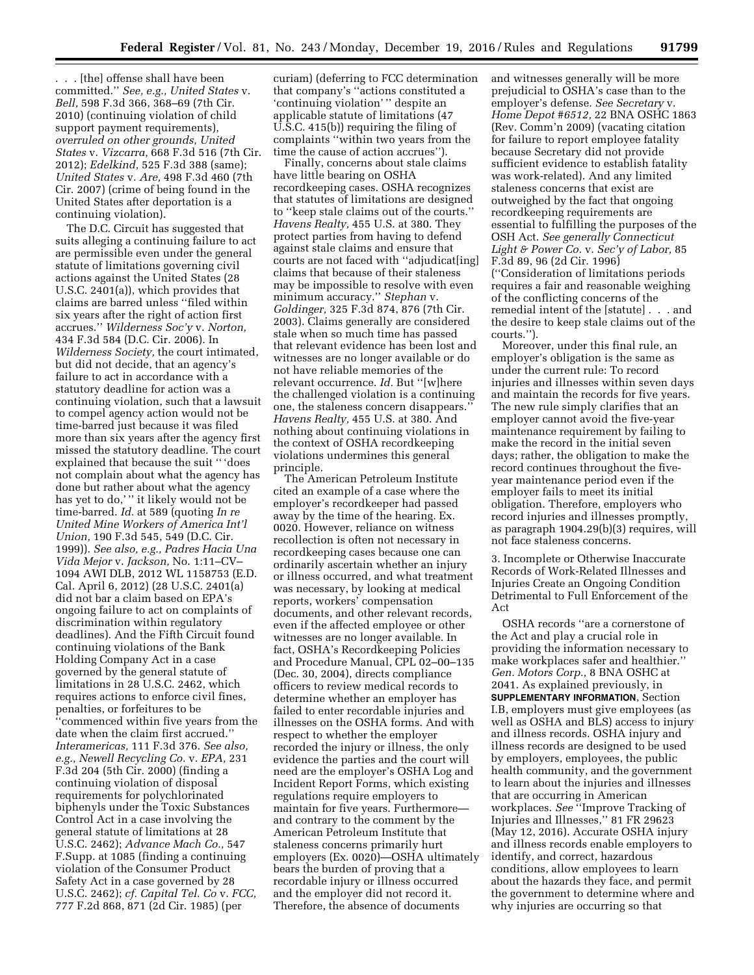. . . [the] offense shall have been committed.'' *See, e.g., United States* v. *Bell,* 598 F.3d 366, 368–69 (7th Cir. 2010) (continuing violation of child support payment requirements), *overruled on other grounds, United States* v. *Vizcarra,* 668 F.3d 516 (7th Cir. 2012); *Edelkind,* 525 F.3d 388 (same); *United States* v. *Are,* 498 F.3d 460 (7th Cir. 2007) (crime of being found in the United States after deportation is a continuing violation).

The D.C. Circuit has suggested that suits alleging a continuing failure to act are permissible even under the general statute of limitations governing civil actions against the United States (28 U.S.C. 2401(a)), which provides that claims are barred unless ''filed within six years after the right of action first accrues.'' *Wilderness Soc'y* v. *Norton,*  434 F.3d 584 (D.C. Cir. 2006). In *Wilderness Society,* the court intimated, but did not decide, that an agency's failure to act in accordance with a statutory deadline for action was a continuing violation, such that a lawsuit to compel agency action would not be time-barred just because it was filed more than six years after the agency first missed the statutory deadline. The court explained that because the suit '' 'does not complain about what the agency has done but rather about what the agency has yet to do,'" it likely would not be time-barred. *Id.* at 589 (quoting *In re United Mine Workers of America Int'l Union,* 190 F.3d 545, 549 (D.C. Cir. 1999)). *See also, e.g., Padres Hacia Una Vida Mejor* v. *Jackson,* No. 1:11–CV– 1094 AWI DLB, 2012 WL 1158753 (E.D. Cal. April 6, 2012) (28 U.S.C. 2401(a) did not bar a claim based on EPA's ongoing failure to act on complaints of discrimination within regulatory deadlines). And the Fifth Circuit found continuing violations of the Bank Holding Company Act in a case governed by the general statute of limitations in 28 U.S.C. 2462, which requires actions to enforce civil fines, penalties, or forfeitures to be ''commenced within five years from the date when the claim first accrued.'' *Interamericas,* 111 F.3d 376. *See also, e.g., Newell Recycling Co.* v. *EPA,* 231 F.3d 204 (5th Cir. 2000) (finding a continuing violation of disposal requirements for polychlorinated biphenyls under the Toxic Substances Control Act in a case involving the general statute of limitations at 28 U.S.C. 2462); *Advance Mach Co.,* 547 F.Supp. at 1085 (finding a continuing violation of the Consumer Product Safety Act in a case governed by 28 U.S.C. 2462); *cf. Capital Tel. Co* v. *FCC,*  777 F.2d 868, 871 (2d Cir. 1985) (per

curiam) (deferring to FCC determination that company's ''actions constituted a 'continuing violation' '' despite an applicable statute of limitations (47 U.S.C. 415(b)) requiring the filing of complaints ''within two years from the time the cause of action accrues'').

Finally, concerns about stale claims have little bearing on OSHA recordkeeping cases. OSHA recognizes that statutes of limitations are designed to ''keep stale claims out of the courts.'' *Havens Realty,* 455 U.S. at 380. They protect parties from having to defend against stale claims and ensure that courts are not faced with ''adjudicat[ing] claims that because of their staleness may be impossible to resolve with even minimum accuracy.'' *Stephan* v. *Goldinger,* 325 F.3d 874, 876 (7th Cir. 2003). Claims generally are considered stale when so much time has passed that relevant evidence has been lost and witnesses are no longer available or do not have reliable memories of the relevant occurrence. *Id.* But ''[w]here the challenged violation is a continuing one, the staleness concern disappears.'' *Havens Realty,* 455 U.S. at 380. And nothing about continuing violations in the context of OSHA recordkeeping violations undermines this general principle.

The American Petroleum Institute cited an example of a case where the employer's recordkeeper had passed away by the time of the hearing. Ex. 0020. However, reliance on witness recollection is often not necessary in recordkeeping cases because one can ordinarily ascertain whether an injury or illness occurred, and what treatment was necessary, by looking at medical reports, workers' compensation documents, and other relevant records, even if the affected employee or other witnesses are no longer available. In fact, OSHA's Recordkeeping Policies and Procedure Manual, CPL 02–00–135 (Dec. 30, 2004), directs compliance officers to review medical records to determine whether an employer has failed to enter recordable injuries and illnesses on the OSHA forms. And with respect to whether the employer recorded the injury or illness, the only evidence the parties and the court will need are the employer's OSHA Log and Incident Report Forms, which existing regulations require employers to maintain for five years. Furthermore and contrary to the comment by the American Petroleum Institute that staleness concerns primarily hurt employers (Ex. 0020)—OSHA ultimately bears the burden of proving that a recordable injury or illness occurred and the employer did not record it. Therefore, the absence of documents

and witnesses generally will be more prejudicial to OSHA's case than to the employer's defense. *See Secretary* v. *Home Depot #6512,* 22 BNA OSHC 1863 (Rev. Comm'n 2009) (vacating citation for failure to report employee fatality because Secretary did not provide sufficient evidence to establish fatality was work-related). And any limited staleness concerns that exist are outweighed by the fact that ongoing recordkeeping requirements are essential to fulfilling the purposes of the OSH Act. *See generally Connecticut Light & Power Co.* v. *Sec'y of Labor,* 85 F.3d 89, 96 (2d Cir. 1996) (''Consideration of limitations periods requires a fair and reasonable weighing of the conflicting concerns of the remedial intent of the [statute] . . . and the desire to keep stale claims out of the courts.'').

Moreover, under this final rule, an employer's obligation is the same as under the current rule: To record injuries and illnesses within seven days and maintain the records for five years. The new rule simply clarifies that an employer cannot avoid the five-year maintenance requirement by failing to make the record in the initial seven days; rather, the obligation to make the record continues throughout the fiveyear maintenance period even if the employer fails to meet its initial obligation. Therefore, employers who record injuries and illnesses promptly, as paragraph 1904.29(b)(3) requires, will not face staleness concerns.

3. Incomplete or Otherwise Inaccurate Records of Work-Related Illnesses and Injuries Create an Ongoing Condition Detrimental to Full Enforcement of the Act

OSHA records ''are a cornerstone of the Act and play a crucial role in providing the information necessary to make workplaces safer and healthier.'' *Gen. Motors Corp.,* 8 BNA OSHC at 2041. As explained previously, in **SUPPLEMENTARY INFORMATION**, Section I.B, employers must give employees (as well as OSHA and BLS) access to injury and illness records. OSHA injury and illness records are designed to be used by employers, employees, the public health community, and the government to learn about the injuries and illnesses that are occurring in American workplaces. *See* ''Improve Tracking of Injuries and Illnesses,'' 81 FR 29623 (May 12, 2016). Accurate OSHA injury and illness records enable employers to identify, and correct, hazardous conditions, allow employees to learn about the hazards they face, and permit the government to determine where and why injuries are occurring so that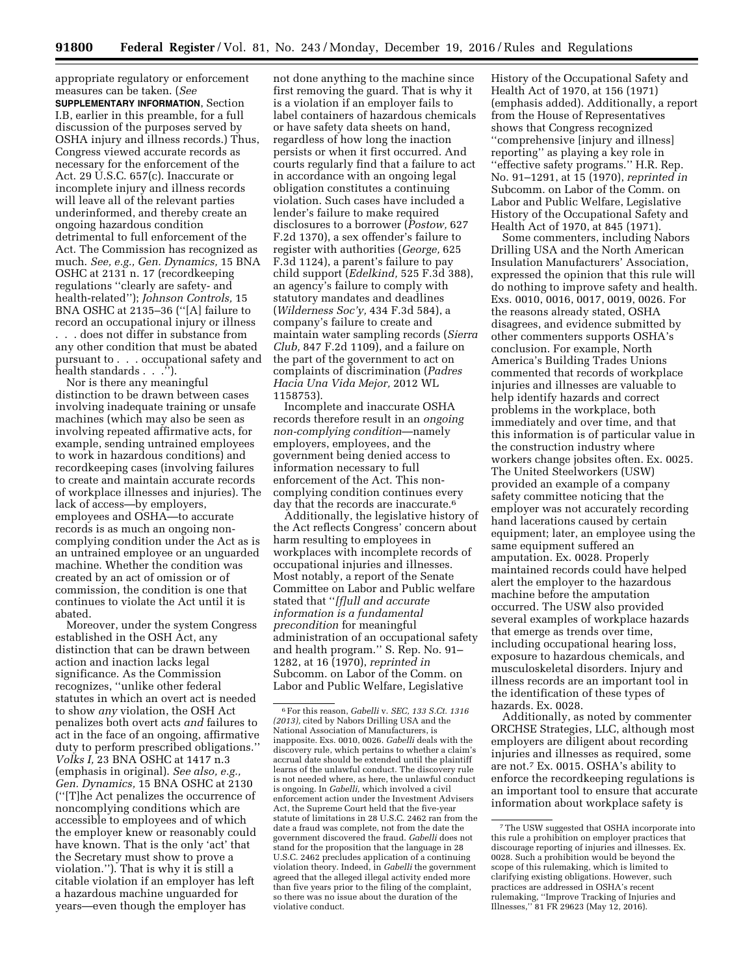appropriate regulatory or enforcement measures can be taken. (*See* 

**SUPPLEMENTARY INFORMATION**, Section I.B, earlier in this preamble, for a full discussion of the purposes served by OSHA injury and illness records.) Thus, Congress viewed accurate records as necessary for the enforcement of the Act. 29 U.S.C. 657(c). Inaccurate or incomplete injury and illness records will leave all of the relevant parties underinformed, and thereby create an ongoing hazardous condition detrimental to full enforcement of the Act. The Commission has recognized as much. *See, e.g., Gen. Dynamics,* 15 BNA OSHC at 2131 n. 17 (recordkeeping regulations ''clearly are safety- and health-related''); *Johnson Controls,* 15 BNA OSHC at 2135–36 (''[A] failure to record an occupational injury or illness . . . does not differ in substance from any other condition that must be abated pursuant to . . . occupational safety and health standards . . .'').

Nor is there any meaningful distinction to be drawn between cases involving inadequate training or unsafe machines (which may also be seen as involving repeated affirmative acts, for example, sending untrained employees to work in hazardous conditions) and recordkeeping cases (involving failures to create and maintain accurate records of workplace illnesses and injuries). The lack of access—by employers, employees and OSHA—to accurate records is as much an ongoing noncomplying condition under the Act as is an untrained employee or an unguarded machine. Whether the condition was created by an act of omission or of commission, the condition is one that continues to violate the Act until it is abated.

Moreover, under the system Congress established in the OSH Act, any distinction that can be drawn between action and inaction lacks legal significance. As the Commission recognizes, ''unlike other federal statutes in which an overt act is needed to show *any* violation, the OSH Act penalizes both overt acts *and* failures to act in the face of an ongoing, affirmative duty to perform prescribed obligations.'' *Volks I,* 23 BNA OSHC at 1417 n.3 (emphasis in original). *See also, e.g., Gen. Dynamics,* 15 BNA OSHC at 2130 (''[T]he Act penalizes the occurrence of noncomplying conditions which are accessible to employees and of which the employer knew or reasonably could have known. That is the only 'act' that the Secretary must show to prove a violation.''). That is why it is still a citable violation if an employer has left a hazardous machine unguarded for years—even though the employer has

not done anything to the machine since first removing the guard. That is why it is a violation if an employer fails to label containers of hazardous chemicals or have safety data sheets on hand, regardless of how long the inaction persists or when it first occurred. And courts regularly find that a failure to act in accordance with an ongoing legal obligation constitutes a continuing violation. Such cases have included a lender's failure to make required disclosures to a borrower (*Postow,* 627 F.2d 1370), a sex offender's failure to register with authorities (*George,* 625 F.3d 1124), a parent's failure to pay child support (*Edelkind,* 525 F.3d 388), an agency's failure to comply with statutory mandates and deadlines (*Wilderness Soc'y,* 434 F.3d 584), a company's failure to create and maintain water sampling records (*Sierra Club,* 847 F.2d 1109), and a failure on the part of the government to act on complaints of discrimination (*Padres Hacia Una Vida Mejor,* 2012 WL 1158753).

Incomplete and inaccurate OSHA records therefore result in an *ongoing non-complying condition*—namely employers, employees, and the government being denied access to information necessary to full enforcement of the Act. This noncomplying condition continues every day that the records are inaccurate.<sup>6</sup>

Additionally, the legislative history of the Act reflects Congress' concern about harm resulting to employees in workplaces with incomplete records of occupational injuries and illnesses. Most notably, a report of the Senate Committee on Labor and Public welfare stated that ''*[f]ull and accurate information is a fundamental precondition* for meaningful administration of an occupational safety and health program.'' S. Rep. No. 91– 1282, at 16 (1970), *reprinted in*  Subcomm. on Labor of the Comm. on Labor and Public Welfare, Legislative

History of the Occupational Safety and Health Act of 1970, at 156 (1971) (emphasis added). Additionally, a report from the House of Representatives shows that Congress recognized ''comprehensive [injury and illness] reporting'' as playing a key role in ''effective safety programs.'' H.R. Rep. No. 91–1291, at 15 (1970), *reprinted in*  Subcomm. on Labor of the Comm. on Labor and Public Welfare, Legislative History of the Occupational Safety and Health Act of 1970, at 845 (1971).

Some commenters, including Nabors Drilling USA and the North American Insulation Manufacturers' Association, expressed the opinion that this rule will do nothing to improve safety and health. Exs. 0010, 0016, 0017, 0019, 0026. For the reasons already stated, OSHA disagrees, and evidence submitted by other commenters supports OSHA's conclusion. For example, North America's Building Trades Unions commented that records of workplace injuries and illnesses are valuable to help identify hazards and correct problems in the workplace, both immediately and over time, and that this information is of particular value in the construction industry where workers change jobsites often. Ex. 0025. The United Steelworkers (USW) provided an example of a company safety committee noticing that the employer was not accurately recording hand lacerations caused by certain equipment; later, an employee using the same equipment suffered an amputation. Ex. 0028. Properly maintained records could have helped alert the employer to the hazardous machine before the amputation occurred. The USW also provided several examples of workplace hazards that emerge as trends over time, including occupational hearing loss, exposure to hazardous chemicals, and musculoskeletal disorders. Injury and illness records are an important tool in the identification of these types of hazards. Ex. 0028.

Additionally, as noted by commenter ORCHSE Strategies, LLC, although most employers are diligent about recording injuries and illnesses as required, some are not.7 Ex. 0015. OSHA's ability to enforce the recordkeeping regulations is an important tool to ensure that accurate information about workplace safety is

<sup>6</sup>For this reason, *Gabelli* v. *SEC, 133 S.Ct. 1316 (2013),* cited by Nabors Drilling USA and the National Association of Manufacturers, is inapposite. Exs. 0010, 0026. *Gabelli* deals with the discovery rule, which pertains to whether a claim's accrual date should be extended until the plaintiff learns of the unlawful conduct. The discovery rule is not needed where, as here, the unlawful conduct is ongoing. In *Gabelli,* which involved a civil enforcement action under the Investment Advisers Act, the Supreme Court held that the five-year statute of limitations in 28 U.S.C. 2462 ran from the date a fraud was complete, not from the date the government discovered the fraud. *Gabelli* does not stand for the proposition that the language in 28 U.S.C. 2462 precludes application of a continuing violation theory. Indeed, in *Gabelli* the government agreed that the alleged illegal activity ended more than five years prior to the filing of the complaint, so there was no issue about the duration of the violative conduct.

<sup>7</sup>The USW suggested that OSHA incorporate into this rule a prohibition on employer practices that discourage reporting of injuries and illnesses. Ex. 0028. Such a prohibition would be beyond the scope of this rulemaking, which is limited to clarifying existing obligations. However, such practices are addressed in OSHA's recent rulemaking, ''Improve Tracking of Injuries and Illnesses,'' 81 FR 29623 (May 12, 2016).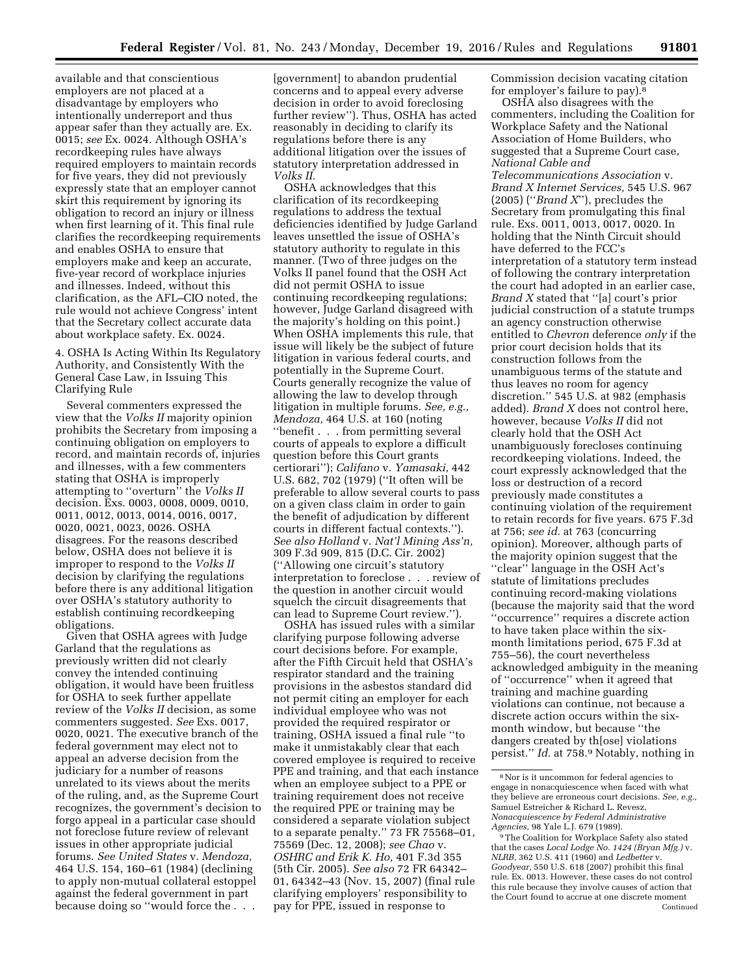available and that conscientious employers are not placed at a disadvantage by employers who intentionally underreport and thus appear safer than they actually are. Ex. 0015; *see* Ex. 0024. Although OSHA's recordkeeping rules have always required employers to maintain records for five years, they did not previously expressly state that an employer cannot skirt this requirement by ignoring its obligation to record an injury or illness when first learning of it. This final rule clarifies the recordkeeping requirements and enables OSHA to ensure that employers make and keep an accurate, five-year record of workplace injuries and illnesses. Indeed, without this clarification, as the AFL–CIO noted, the rule would not achieve Congress' intent that the Secretary collect accurate data about workplace safety. Ex. 0024.

4. OSHA Is Acting Within Its Regulatory Authority, and Consistently With the General Case Law, in Issuing This Clarifying Rule

Several commenters expressed the view that the *Volks II* majority opinion prohibits the Secretary from imposing a continuing obligation on employers to record, and maintain records of, injuries and illnesses, with a few commenters stating that OSHA is improperly attempting to ''overturn'' the *Volks II*  decision. Exs. 0003, 0008, 0009, 0010, 0011, 0012, 0013, 0014, 0016, 0017, 0020, 0021, 0023, 0026. OSHA disagrees. For the reasons described below, OSHA does not believe it is improper to respond to the *Volks II*  decision by clarifying the regulations before there is any additional litigation over OSHA's statutory authority to establish continuing recordkeeping obligations.

Given that OSHA agrees with Judge Garland that the regulations as previously written did not clearly convey the intended continuing obligation, it would have been fruitless for OSHA to seek further appellate review of the *Volks II* decision, as some commenters suggested. *See* Exs. 0017, 0020, 0021. The executive branch of the federal government may elect not to appeal an adverse decision from the judiciary for a number of reasons unrelated to its views about the merits of the ruling, and, as the Supreme Court recognizes, the government's decision to forgo appeal in a particular case should not foreclose future review of relevant issues in other appropriate judicial forums. *See United States* v. *Mendoza,*  464 U.S. 154, 160–61 (1984) (declining to apply non-mutual collateral estoppel against the federal government in part because doing so ''would force the . . .

[government] to abandon prudential concerns and to appeal every adverse decision in order to avoid foreclosing further review''). Thus, OSHA has acted reasonably in deciding to clarify its regulations before there is any additional litigation over the issues of statutory interpretation addressed in *Volks II.* 

OSHA acknowledges that this clarification of its recordkeeping regulations to address the textual deficiencies identified by Judge Garland leaves unsettled the issue of OSHA's statutory authority to regulate in this manner. (Two of three judges on the Volks II panel found that the OSH Act did not permit OSHA to issue continuing recordkeeping regulations; however, Judge Garland disagreed with the majority's holding on this point.) When OSHA implements this rule, that issue will likely be the subject of future litigation in various federal courts, and potentially in the Supreme Court. Courts generally recognize the value of allowing the law to develop through litigation in multiple forums. *See, e.g., Mendoza,* 464 U.S. at 160 (noting ''benefit . . . from permitting several courts of appeals to explore a difficult question before this Court grants certiorari''); *Califano* v. *Yamasaki,* 442 U.S. 682, 702 (1979) (''It often will be preferable to allow several courts to pass on a given class claim in order to gain the benefit of adjudication by different courts in different factual contexts.''). *See also Holland* v. *Nat'l Mining Ass'n,*  309 F.3d 909, 815 (D.C. Cir. 2002) (''Allowing one circuit's statutory interpretation to foreclose . . . review of the question in another circuit would squelch the circuit disagreements that can lead to Supreme Court review.'').

OSHA has issued rules with a similar clarifying purpose following adverse court decisions before. For example, after the Fifth Circuit held that OSHA's respirator standard and the training provisions in the asbestos standard did not permit citing an employer for each individual employee who was not provided the required respirator or training, OSHA issued a final rule ''to make it unmistakably clear that each covered employee is required to receive PPE and training, and that each instance when an employee subject to a PPE or training requirement does not receive the required PPE or training may be considered a separate violation subject to a separate penalty.'' 73 FR 75568–01, 75569 (Dec. 12, 2008); *see Chao* v. *OSHRC and Erik K. Ho,* 401 F.3d 355 (5th Cir. 2005). *See also* 72 FR 64342– 01, 64342–43 (Nov. 15, 2007) (final rule clarifying employers' responsibility to pay for PPE, issued in response to

Commission decision vacating citation for employer's failure to pay). $8$ 

OSHA also disagrees with the commenters, including the Coalition for Workplace Safety and the National Association of Home Builders, who suggested that a Supreme Court case, *National Cable and Telecommunications Association* v. *Brand X Internet Services,* 545 U.S. 967 (2005) (''*Brand X*''), precludes the Secretary from promulgating this final rule. Exs. 0011, 0013, 0017, 0020. In holding that the Ninth Circuit should have deferred to the FCC's interpretation of a statutory term instead of following the contrary interpretation the court had adopted in an earlier case, *Brand X* stated that ''[a] court's prior judicial construction of a statute trumps an agency construction otherwise entitled to *Chevron* deference *only* if the prior court decision holds that its construction follows from the unambiguous terms of the statute and thus leaves no room for agency discretion.'' 545 U.S. at 982 (emphasis added). *Brand X* does not control here, however, because *Volks II* did not clearly hold that the OSH Act unambiguously forecloses continuing recordkeeping violations. Indeed, the court expressly acknowledged that the loss or destruction of a record previously made constitutes a continuing violation of the requirement to retain records for five years. 675 F.3d at 756; *see id.* at 763 (concurring opinion). Moreover, although parts of the majority opinion suggest that the ''clear'' language in the OSH Act's statute of limitations precludes continuing record-making violations (because the majority said that the word ''occurrence'' requires a discrete action to have taken place within the sixmonth limitations period, 675 F.3d at 755–56), the court nevertheless acknowledged ambiguity in the meaning of ''occurrence'' when it agreed that training and machine guarding violations can continue, not because a discrete action occurs within the sixmonth window, but because ''the dangers created by th[ose] violations persist.'' *Id.* at 758.9 Notably, nothing in

<sup>8</sup>Nor is it uncommon for federal agencies to engage in nonacquiescence when faced with what they believe are erroneous court decisions. *See, e.g.,*  Samuel Estreicher & Richard L. Revesz, *Nonacquiescence by Federal Administrative Agencies,* 98 Yale L.J. 679 (1989).

<sup>9</sup>The Coalition for Workplace Safety also stated that the cases *Local Lodge No. 1424 (Bryan Mfg.)* v. *NLRB,* 362 U.S. 411 (1960) and *Ledbetter* v. *Goodyear,* 550 U.S. 618 (2007) prohibit this final rule. Ex. 0013. However, these cases do not control this rule because they involve causes of action that the Court found to accrue at one discrete moment Continued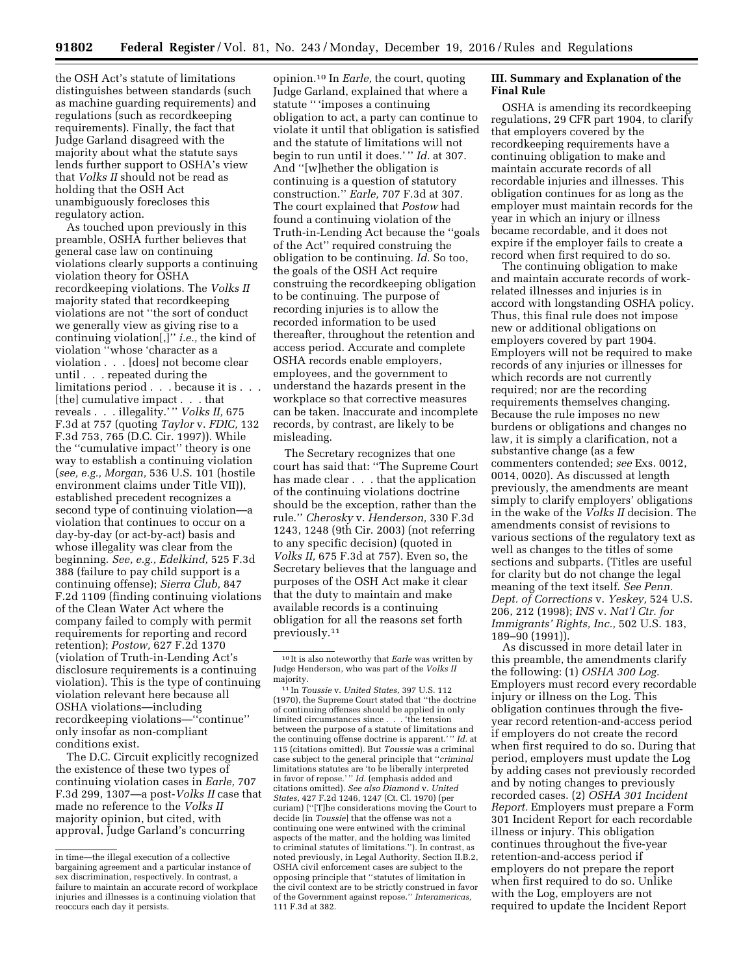the OSH Act's statute of limitations distinguishes between standards (such as machine guarding requirements) and regulations (such as recordkeeping requirements). Finally, the fact that Judge Garland disagreed with the majority about what the statute says lends further support to OSHA's view that *Volks II* should not be read as holding that the OSH Act unambiguously forecloses this regulatory action.

As touched upon previously in this preamble, OSHA further believes that general case law on continuing violations clearly supports a continuing violation theory for OSHA recordkeeping violations. The *Volks II*  majority stated that recordkeeping violations are not ''the sort of conduct we generally view as giving rise to a continuing violation[,]'' *i.e.,* the kind of violation ''whose 'character as a violation . . . [does] not become clear until . . . repeated during the limitations period . . . because it is . . . [the] cumulative impact . . . that reveals . . . illegality.' '' *Volks II,* 675 F.3d at 757 (quoting *Taylor* v. *FDIC,* 132 F.3d 753, 765 (D.C. Cir. 1997)). While the ''cumulative impact'' theory is one way to establish a continuing violation (*see, e.g., Morgan,* 536 U.S. 101 (hostile environment claims under Title VII)), established precedent recognizes a second type of continuing violation—a violation that continues to occur on a day-by-day (or act-by-act) basis and whose illegality was clear from the beginning. *See, e.g., Edelkind,* 525 F.3d 388 (failure to pay child support is a continuing offense); *Sierra Club,* 847 F.2d 1109 (finding continuing violations of the Clean Water Act where the company failed to comply with permit requirements for reporting and record retention); *Postow,* 627 F.2d 1370 (violation of Truth-in-Lending Act's disclosure requirements is a continuing violation). This is the type of continuing violation relevant here because all OSHA violations—including recordkeeping violations—''continue'' only insofar as non-compliant conditions exist.

The D.C. Circuit explicitly recognized the existence of these two types of continuing violation cases in *Earle,* 707 F.3d 299, 1307—a post-*Volks II* case that made no reference to the *Volks II*  majority opinion, but cited, with approval, Judge Garland's concurring

opinion.10 In *Earle,* the court, quoting Judge Garland, explained that where a statute '' 'imposes a continuing obligation to act, a party can continue to violate it until that obligation is satisfied and the statute of limitations will not begin to run until it does.' '' *Id.* at 307. And ''[w]hether the obligation is continuing is a question of statutory construction.'' *Earle,* 707 F.3d at 307. The court explained that *Postow* had found a continuing violation of the Truth-in-Lending Act because the ''goals of the Act'' required construing the obligation to be continuing. *Id.* So too, the goals of the OSH Act require construing the recordkeeping obligation to be continuing. The purpose of recording injuries is to allow the recorded information to be used thereafter, throughout the retention and access period. Accurate and complete OSHA records enable employers, employees, and the government to understand the hazards present in the workplace so that corrective measures can be taken. Inaccurate and incomplete records, by contrast, are likely to be misleading.

The Secretary recognizes that one court has said that: ''The Supreme Court has made clear . . . that the application of the continuing violations doctrine should be the exception, rather than the rule.'' *Cherosky* v. *Henderson,* 330 F.3d 1243, 1248 (9th Cir. 2003) (not referring to any specific decision) (quoted in *Volks II,* 675 F.3d at 757). Even so, the Secretary believes that the language and purposes of the OSH Act make it clear that the duty to maintain and make available records is a continuing obligation for all the reasons set forth previously.11

# **III. Summary and Explanation of the Final Rule**

OSHA is amending its recordkeeping regulations, 29 CFR part 1904, to clarify that employers covered by the recordkeeping requirements have a continuing obligation to make and maintain accurate records of all recordable injuries and illnesses. This obligation continues for as long as the employer must maintain records for the year in which an injury or illness became recordable, and it does not expire if the employer fails to create a record when first required to do so.

The continuing obligation to make and maintain accurate records of workrelated illnesses and injuries is in accord with longstanding OSHA policy. Thus, this final rule does not impose new or additional obligations on employers covered by part 1904. Employers will not be required to make records of any injuries or illnesses for which records are not currently required; nor are the recording requirements themselves changing. Because the rule imposes no new burdens or obligations and changes no law, it is simply a clarification, not a substantive change (as a few commenters contended; *see* Exs. 0012, 0014, 0020). As discussed at length previously, the amendments are meant simply to clarify employers' obligations in the wake of the *Volks II* decision. The amendments consist of revisions to various sections of the regulatory text as well as changes to the titles of some sections and subparts. (Titles are useful for clarity but do not change the legal meaning of the text itself. *See Penn. Dept. of Corrections* v. *Yeskey,* 524 U.S. 206, 212 (1998); *INS* v. *Nat'l Ctr. for Immigrants' Rights, Inc.,* 502 U.S. 183, 189–90 (1991)).

As discussed in more detail later in this preamble, the amendments clarify the following: (1) *OSHA 300 Log.*  Employers must record every recordable injury or illness on the Log. This obligation continues through the fiveyear record retention-and-access period if employers do not create the record when first required to do so. During that period, employers must update the Log by adding cases not previously recorded and by noting changes to previously recorded cases. (2) *OSHA 301 Incident Report.* Employers must prepare a Form 301 Incident Report for each recordable illness or injury. This obligation continues throughout the five-year retention-and-access period if employers do not prepare the report when first required to do so. Unlike with the Log, employers are not required to update the Incident Report

in time—the illegal execution of a collective bargaining agreement and a particular instance of sex discrimination, respectively. In contrast, a failure to maintain an accurate record of workplace injuries and illnesses is a continuing violation that reoccurs each day it persists.

<sup>10</sup> It is also noteworthy that *Earle* was written by Judge Henderson, who was part of the *Volks II*  majority.

<sup>11</sup> In *Toussie* v. *United States,* 397 U.S. 112 (1970), the Supreme Court stated that ''the doctrine of continuing offenses should be applied in only limited circumstances since . . . 'the tension between the purpose of a statute of limitations and the continuing offense doctrine is apparent.' '' *Id.* at 115 (citations omitted). But *Toussie* was a criminal case subject to the general principle that ''*criminal*  limitations statutes are 'to be liberally interpreted in favor of repose.' '' *Id.* (emphasis added and citations omitted). *See also Diamond* v. *United States,* 427 F.2d 1246, 1247 (Ct. Cl. 1970) (per curiam) (''[T]he considerations moving the Court to decide [in *Toussie*] that the offense was not a continuing one were entwined with the criminal aspects of the matter, and the holding was limited to criminal statutes of limitations.''). In contrast, as noted previously, in Legal Authority, Section II.B.2, OSHA civil enforcement cases are subject to the opposing principle that ''statutes of limitation in the civil context are to be strictly construed in favor of the Government against repose.'' *Interamericas,*  111 F.3d at 382.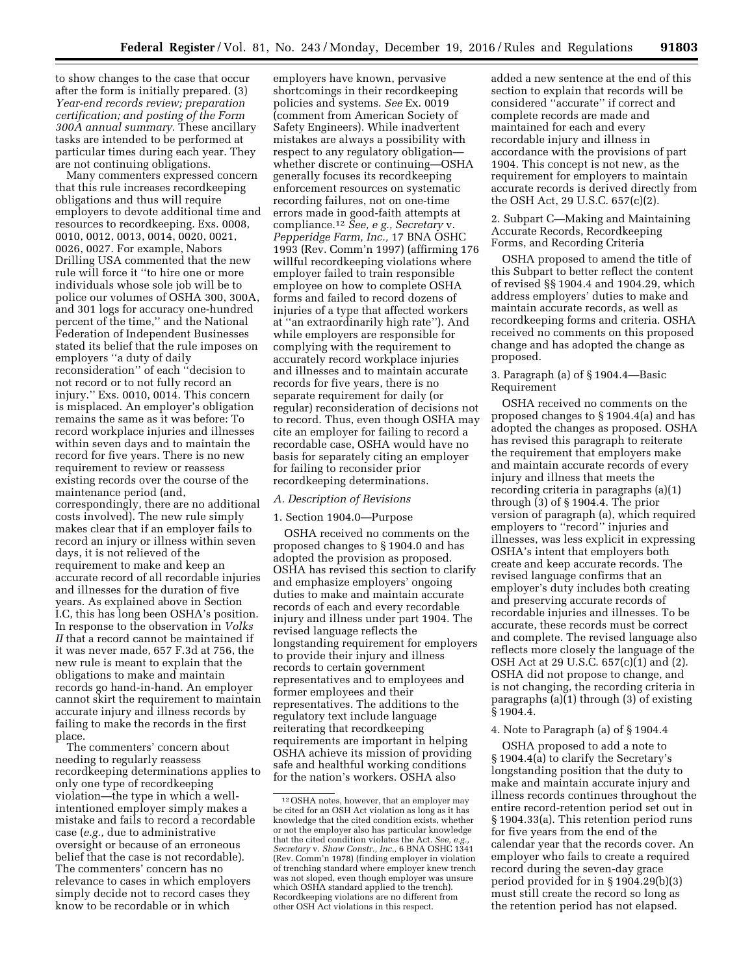to show changes to the case that occur after the form is initially prepared. (3) *Year-end records review; preparation certification; and posting of the Form 300A annual summary.* These ancillary tasks are intended to be performed at particular times during each year. They are not continuing obligations.

Many commenters expressed concern that this rule increases recordkeeping obligations and thus will require employers to devote additional time and resources to recordkeeping. Exs. 0008, 0010, 0012, 0013, 0014, 0020, 0021, 0026, 0027. For example, Nabors Drilling USA commented that the new rule will force it ''to hire one or more individuals whose sole job will be to police our volumes of OSHA 300, 300A, and 301 logs for accuracy one-hundred percent of the time,'' and the National Federation of Independent Businesses stated its belief that the rule imposes on employers ''a duty of daily reconsideration'' of each ''decision to not record or to not fully record an injury.'' Exs. 0010, 0014. This concern is misplaced. An employer's obligation remains the same as it was before: To record workplace injuries and illnesses within seven days and to maintain the record for five years. There is no new requirement to review or reassess existing records over the course of the maintenance period (and, correspondingly, there are no additional costs involved). The new rule simply makes clear that if an employer fails to record an injury or illness within seven days, it is not relieved of the requirement to make and keep an accurate record of all recordable injuries and illnesses for the duration of five years. As explained above in Section I.C, this has long been OSHA's position. In response to the observation in *Volks II* that a record cannot be maintained if it was never made, 657 F.3d at 756, the new rule is meant to explain that the obligations to make and maintain records go hand-in-hand. An employer cannot skirt the requirement to maintain accurate injury and illness records by failing to make the records in the first place.

The commenters' concern about needing to regularly reassess recordkeeping determinations applies to only one type of recordkeeping violation—the type in which a wellintentioned employer simply makes a mistake and fails to record a recordable case (*e.g.,* due to administrative oversight or because of an erroneous belief that the case is not recordable). The commenters' concern has no relevance to cases in which employers simply decide not to record cases they know to be recordable or in which

employers have known, pervasive shortcomings in their recordkeeping policies and systems. *See* Ex. 0019 (comment from American Society of Safety Engineers). While inadvertent mistakes are always a possibility with respect to any regulatory obligation whether discrete or continuing—OSHA generally focuses its recordkeeping enforcement resources on systematic recording failures, not on one-time errors made in good-faith attempts at compliance.12 *See, e g., Secretary* v. *Pepperidge Farm, Inc.,* 17 BNA OSHC 1993 (Rev. Comm'n 1997) (affirming 176 willful recordkeeping violations where employer failed to train responsible employee on how to complete OSHA forms and failed to record dozens of injuries of a type that affected workers at ''an extraordinarily high rate''). And while employers are responsible for complying with the requirement to accurately record workplace injuries and illnesses and to maintain accurate records for five years, there is no separate requirement for daily (or regular) reconsideration of decisions not to record. Thus, even though OSHA may cite an employer for failing to record a recordable case, OSHA would have no basis for separately citing an employer for failing to reconsider prior recordkeeping determinations.

#### *A. Description of Revisions*

## 1. Section 1904.0—Purpose

OSHA received no comments on the proposed changes to § 1904.0 and has adopted the provision as proposed. OSHA has revised this section to clarify and emphasize employers' ongoing duties to make and maintain accurate records of each and every recordable injury and illness under part 1904. The revised language reflects the longstanding requirement for employers to provide their injury and illness records to certain government representatives and to employees and former employees and their representatives. The additions to the regulatory text include language reiterating that recordkeeping requirements are important in helping OSHA achieve its mission of providing safe and healthful working conditions for the nation's workers. OSHA also

added a new sentence at the end of this section to explain that records will be considered ''accurate'' if correct and complete records are made and maintained for each and every recordable injury and illness in accordance with the provisions of part 1904. This concept is not new, as the requirement for employers to maintain accurate records is derived directly from the OSH Act, 29 U.S.C. 657(c)(2).

#### 2. Subpart C—Making and Maintaining Accurate Records, Recordkeeping Forms, and Recording Criteria

OSHA proposed to amend the title of this Subpart to better reflect the content of revised §§ 1904.4 and 1904.29, which address employers' duties to make and maintain accurate records, as well as recordkeeping forms and criteria. OSHA received no comments on this proposed change and has adopted the change as proposed.

## 3. Paragraph (a) of § 1904.4—Basic Requirement

OSHA received no comments on the proposed changes to § 1904.4(a) and has adopted the changes as proposed. OSHA has revised this paragraph to reiterate the requirement that employers make and maintain accurate records of every injury and illness that meets the recording criteria in paragraphs (a)(1) through (3) of § 1904.4. The prior version of paragraph (a), which required employers to ''record'' injuries and illnesses, was less explicit in expressing OSHA's intent that employers both create and keep accurate records. The revised language confirms that an employer's duty includes both creating and preserving accurate records of recordable injuries and illnesses. To be accurate, these records must be correct and complete. The revised language also reflects more closely the language of the OSH Act at 29 U.S.C. 657(c)(1) and (2). OSHA did not propose to change, and is not changing, the recording criteria in paragraphs (a)(1) through (3) of existing § 1904.4.

## 4. Note to Paragraph (a) of § 1904.4

OSHA proposed to add a note to § 1904.4(a) to clarify the Secretary's longstanding position that the duty to make and maintain accurate injury and illness records continues throughout the entire record-retention period set out in § 1904.33(a). This retention period runs for five years from the end of the calendar year that the records cover. An employer who fails to create a required record during the seven-day grace period provided for in § 1904.29(b)(3) must still create the record so long as the retention period has not elapsed.

<sup>12</sup>OSHA notes, however, that an employer may be cited for an OSH Act violation as long as it has knowledge that the cited condition exists, whether or not the employer also has particular knowledge that the cited condition violates the Act. *See, e.g., Secretary* v. *Shaw Constr., Inc.,* 6 BNA OSHC 1341 (Rev. Comm'n 1978) (finding employer in violation of trenching standard where employer knew trench was not sloped, even though employer was unsure which OSHA standard applied to the trench). Recordkeeping violations are no different from other OSH Act violations in this respect.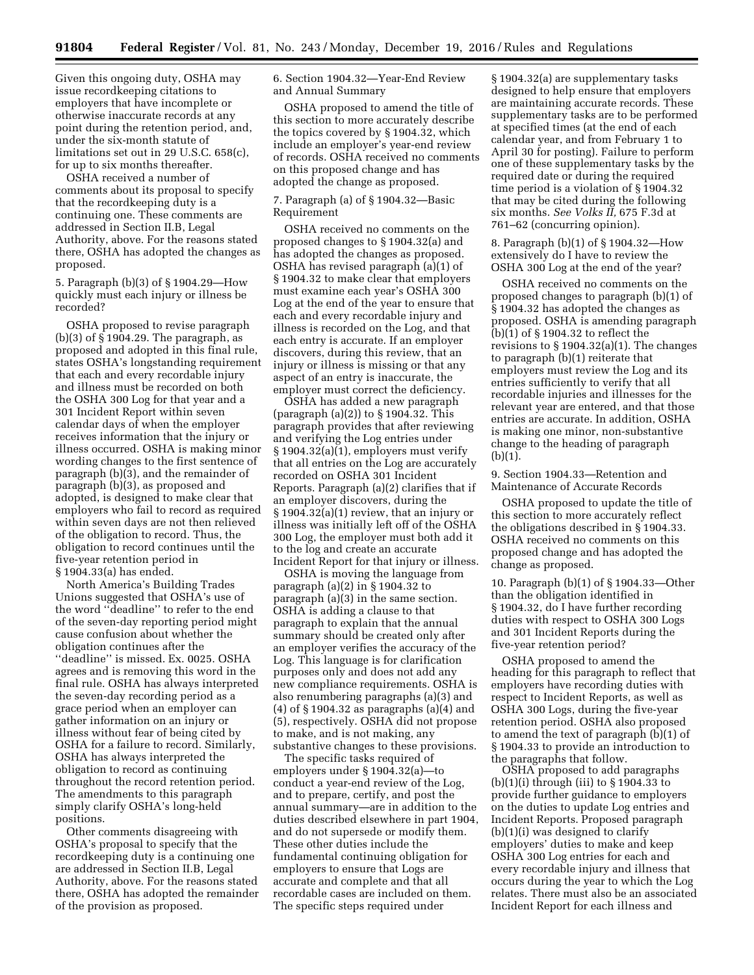Given this ongoing duty, OSHA may issue recordkeeping citations to employers that have incomplete or otherwise inaccurate records at any point during the retention period, and, under the six-month statute of limitations set out in 29 U.S.C. 658(c), for up to six months thereafter.

OSHA received a number of comments about its proposal to specify that the recordkeeping duty is a continuing one. These comments are addressed in Section II.B, Legal Authority, above. For the reasons stated there, OSHA has adopted the changes as proposed.

5. Paragraph (b)(3) of § 1904.29—How quickly must each injury or illness be recorded?

OSHA proposed to revise paragraph (b)(3) of  $\S$  1904.29. The paragraph, as proposed and adopted in this final rule, states OSHA's longstanding requirement that each and every recordable injury and illness must be recorded on both the OSHA 300 Log for that year and a 301 Incident Report within seven calendar days of when the employer receives information that the injury or illness occurred. OSHA is making minor wording changes to the first sentence of paragraph (b)(3), and the remainder of paragraph (b)(3), as proposed and adopted, is designed to make clear that employers who fail to record as required within seven days are not then relieved of the obligation to record. Thus, the obligation to record continues until the five-year retention period in § 1904.33(a) has ended.

North America's Building Trades Unions suggested that OSHA's use of the word ''deadline'' to refer to the end of the seven-day reporting period might cause confusion about whether the obligation continues after the ''deadline'' is missed. Ex. 0025. OSHA agrees and is removing this word in the final rule. OSHA has always interpreted the seven-day recording period as a grace period when an employer can gather information on an injury or illness without fear of being cited by OSHA for a failure to record. Similarly, OSHA has always interpreted the obligation to record as continuing throughout the record retention period. The amendments to this paragraph simply clarify OSHA's long-held positions.

Other comments disagreeing with OSHA's proposal to specify that the recordkeeping duty is a continuing one are addressed in Section II.B, Legal Authority, above. For the reasons stated there, OSHA has adopted the remainder of the provision as proposed.

6. Section 1904.32—Year-End Review and Annual Summary

OSHA proposed to amend the title of this section to more accurately describe the topics covered by § 1904.32, which include an employer's year-end review of records. OSHA received no comments on this proposed change and has adopted the change as proposed.

## 7. Paragraph (a) of § 1904.32—Basic Requirement

OSHA received no comments on the proposed changes to § 1904.32(a) and has adopted the changes as proposed. OSHA has revised paragraph (a)(1) of § 1904.32 to make clear that employers must examine each year's OSHA 300 Log at the end of the year to ensure that each and every recordable injury and illness is recorded on the Log, and that each entry is accurate. If an employer discovers, during this review, that an injury or illness is missing or that any aspect of an entry is inaccurate, the employer must correct the deficiency.

OSHA has added a new paragraph (paragraph (a)(2)) to § 1904.32. This paragraph provides that after reviewing and verifying the Log entries under § 1904.32(a)(1), employers must verify that all entries on the Log are accurately recorded on OSHA 301 Incident Reports. Paragraph (a)(2) clarifies that if an employer discovers, during the § 1904.32(a)(1) review, that an injury or illness was initially left off of the OSHA 300 Log, the employer must both add it to the log and create an accurate Incident Report for that injury or illness.

OSHA is moving the language from paragraph (a)(2) in § 1904.32 to paragraph (a)(3) in the same section. OSHA is adding a clause to that paragraph to explain that the annual summary should be created only after an employer verifies the accuracy of the Log. This language is for clarification purposes only and does not add any new compliance requirements. OSHA is also renumbering paragraphs (a)(3) and (4) of § 1904.32 as paragraphs (a)(4) and (5), respectively. OSHA did not propose to make, and is not making, any substantive changes to these provisions.

The specific tasks required of employers under § 1904.32(a)—to conduct a year-end review of the Log, and to prepare, certify, and post the annual summary—are in addition to the duties described elsewhere in part 1904, and do not supersede or modify them. These other duties include the fundamental continuing obligation for employers to ensure that Logs are accurate and complete and that all recordable cases are included on them. The specific steps required under

§ 1904.32(a) are supplementary tasks designed to help ensure that employers are maintaining accurate records. These supplementary tasks are to be performed at specified times (at the end of each calendar year, and from February 1 to April 30 for posting). Failure to perform one of these supplementary tasks by the required date or during the required time period is a violation of § 1904.32 that may be cited during the following six months. *See Volks II,* 675 F.3d at 761–62 (concurring opinion).

8. Paragraph (b)(1) of § 1904.32—How extensively do I have to review the OSHA 300 Log at the end of the year?

OSHA received no comments on the proposed changes to paragraph (b)(1) of § 1904.32 has adopted the changes as proposed. OSHA is amending paragraph (b)(1) of § 1904.32 to reflect the revisions to  $\S 1904.32(a)(1)$ . The changes to paragraph (b)(1) reiterate that employers must review the Log and its entries sufficiently to verify that all recordable injuries and illnesses for the relevant year are entered, and that those entries are accurate. In addition, OSHA is making one minor, non-substantive change to the heading of paragraph  $(b)(1).$ 

9. Section 1904.33—Retention and Maintenance of Accurate Records

OSHA proposed to update the title of this section to more accurately reflect the obligations described in § 1904.33. OSHA received no comments on this proposed change and has adopted the change as proposed.

10. Paragraph (b)(1) of § 1904.33—Other than the obligation identified in § 1904.32, do I have further recording duties with respect to OSHA 300 Logs and 301 Incident Reports during the five-year retention period?

OSHA proposed to amend the heading for this paragraph to reflect that employers have recording duties with respect to Incident Reports, as well as OSHA 300 Logs, during the five-year retention period. OSHA also proposed to amend the text of paragraph (b)(1) of § 1904.33 to provide an introduction to the paragraphs that follow.

OSHA proposed to add paragraphs  $(b)(1)(i)$  through (iii) to § 1904.33 to provide further guidance to employers on the duties to update Log entries and Incident Reports. Proposed paragraph (b)(1)(i) was designed to clarify employers' duties to make and keep OSHA 300 Log entries for each and every recordable injury and illness that occurs during the year to which the Log relates. There must also be an associated Incident Report for each illness and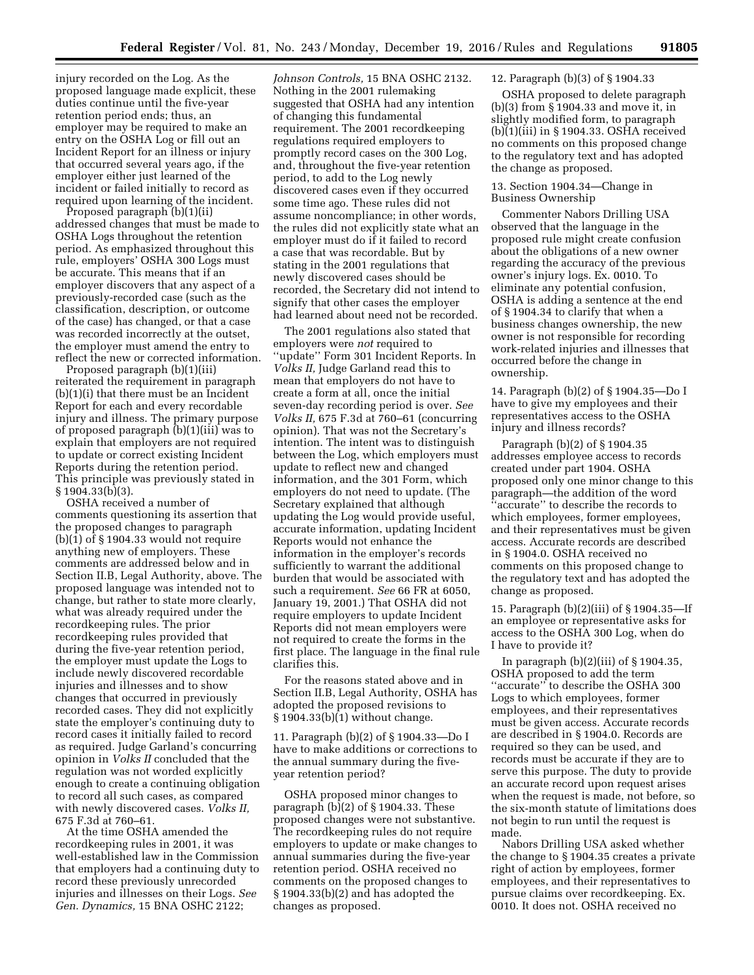injury recorded on the Log. As the proposed language made explicit, these duties continue until the five-year retention period ends; thus, an employer may be required to make an entry on the OSHA Log or fill out an Incident Report for an illness or injury that occurred several years ago, if the employer either just learned of the incident or failed initially to record as required upon learning of the incident.

Proposed paragraph (b)(1)(ii) addressed changes that must be made to OSHA Logs throughout the retention period. As emphasized throughout this rule, employers' OSHA 300 Logs must be accurate. This means that if an employer discovers that any aspect of a previously-recorded case (such as the classification, description, or outcome of the case) has changed, or that a case was recorded incorrectly at the outset, the employer must amend the entry to reflect the new or corrected information.

Proposed paragraph (b)(1)(iii) reiterated the requirement in paragraph (b)(1)(i) that there must be an Incident Report for each and every recordable injury and illness. The primary purpose of proposed paragraph (b)(1)(iii) was to explain that employers are not required to update or correct existing Incident Reports during the retention period. This principle was previously stated in § 1904.33(b)(3).

OSHA received a number of comments questioning its assertion that the proposed changes to paragraph (b)(1) of § 1904.33 would not require anything new of employers. These comments are addressed below and in Section II.B, Legal Authority, above. The proposed language was intended not to change, but rather to state more clearly, what was already required under the recordkeeping rules. The prior recordkeeping rules provided that during the five-year retention period, the employer must update the Logs to include newly discovered recordable injuries and illnesses and to show changes that occurred in previously recorded cases. They did not explicitly state the employer's continuing duty to record cases it initially failed to record as required. Judge Garland's concurring opinion in *Volks II* concluded that the regulation was not worded explicitly enough to create a continuing obligation to record all such cases, as compared with newly discovered cases. *Volks II,*  675 F.3d at 760–61.

At the time OSHA amended the recordkeeping rules in 2001, it was well-established law in the Commission that employers had a continuing duty to record these previously unrecorded injuries and illnesses on their Logs. *See Gen. Dynamics,* 15 BNA OSHC 2122;

*Johnson Controls,* 15 BNA OSHC 2132. Nothing in the 2001 rulemaking suggested that OSHA had any intention of changing this fundamental requirement. The 2001 recordkeeping regulations required employers to promptly record cases on the 300 Log, and, throughout the five-year retention period, to add to the Log newly discovered cases even if they occurred some time ago. These rules did not assume noncompliance; in other words, the rules did not explicitly state what an employer must do if it failed to record a case that was recordable. But by stating in the 2001 regulations that newly discovered cases should be recorded, the Secretary did not intend to signify that other cases the employer had learned about need not be recorded.

The 2001 regulations also stated that employers were *not* required to ''update'' Form 301 Incident Reports. In *Volks II,* Judge Garland read this to mean that employers do not have to create a form at all, once the initial seven-day recording period is over. *See Volks II,* 675 F.3d at 760–61 (concurring opinion). That was not the Secretary's intention. The intent was to distinguish between the Log, which employers must update to reflect new and changed information, and the 301 Form, which employers do not need to update. (The Secretary explained that although updating the Log would provide useful, accurate information, updating Incident Reports would not enhance the information in the employer's records sufficiently to warrant the additional burden that would be associated with such a requirement. *See* 66 FR at 6050, January 19, 2001.) That OSHA did not require employers to update Incident Reports did not mean employers were not required to create the forms in the first place. The language in the final rule clarifies this.

For the reasons stated above and in Section II.B, Legal Authority, OSHA has adopted the proposed revisions to § 1904.33(b)(1) without change.

11. Paragraph (b)(2) of § 1904.33—Do I have to make additions or corrections to the annual summary during the fiveyear retention period?

OSHA proposed minor changes to paragraph  $(b)(2)$  of  $\S 1904.33$ . These proposed changes were not substantive. The recordkeeping rules do not require employers to update or make changes to annual summaries during the five-year retention period. OSHA received no comments on the proposed changes to § 1904.33(b)(2) and has adopted the changes as proposed.

# 12. Paragraph (b)(3) of § 1904.33

OSHA proposed to delete paragraph (b)(3) from § 1904.33 and move it, in slightly modified form, to paragraph (b)(1)(iii) in § 1904.33. OSHA received no comments on this proposed change to the regulatory text and has adopted the change as proposed.

#### 13. Section 1904.34—Change in Business Ownership

Commenter Nabors Drilling USA observed that the language in the proposed rule might create confusion about the obligations of a new owner regarding the accuracy of the previous owner's injury logs. Ex. 0010. To eliminate any potential confusion, OSHA is adding a sentence at the end of § 1904.34 to clarify that when a business changes ownership, the new owner is not responsible for recording work-related injuries and illnesses that occurred before the change in ownership.

14. Paragraph (b)(2) of § 1904.35—Do I have to give my employees and their representatives access to the OSHA injury and illness records?

Paragraph (b)(2) of § 1904.35 addresses employee access to records created under part 1904. OSHA proposed only one minor change to this paragraph—the addition of the word ''accurate'' to describe the records to which employees, former employees, and their representatives must be given access. Accurate records are described in § 1904.0. OSHA received no comments on this proposed change to the regulatory text and has adopted the change as proposed.

15. Paragraph (b)(2)(iii) of § 1904.35—If an employee or representative asks for access to the OSHA 300 Log, when do I have to provide it?

In paragraph  $(b)(2)(iii)$  of § 1904.35, OSHA proposed to add the term ''accurate'' to describe the OSHA 300 Logs to which employees, former employees, and their representatives must be given access. Accurate records are described in § 1904.0. Records are required so they can be used, and records must be accurate if they are to serve this purpose. The duty to provide an accurate record upon request arises when the request is made, not before, so the six-month statute of limitations does not begin to run until the request is made.

Nabors Drilling USA asked whether the change to § 1904.35 creates a private right of action by employees, former employees, and their representatives to pursue claims over recordkeeping. Ex. 0010. It does not. OSHA received no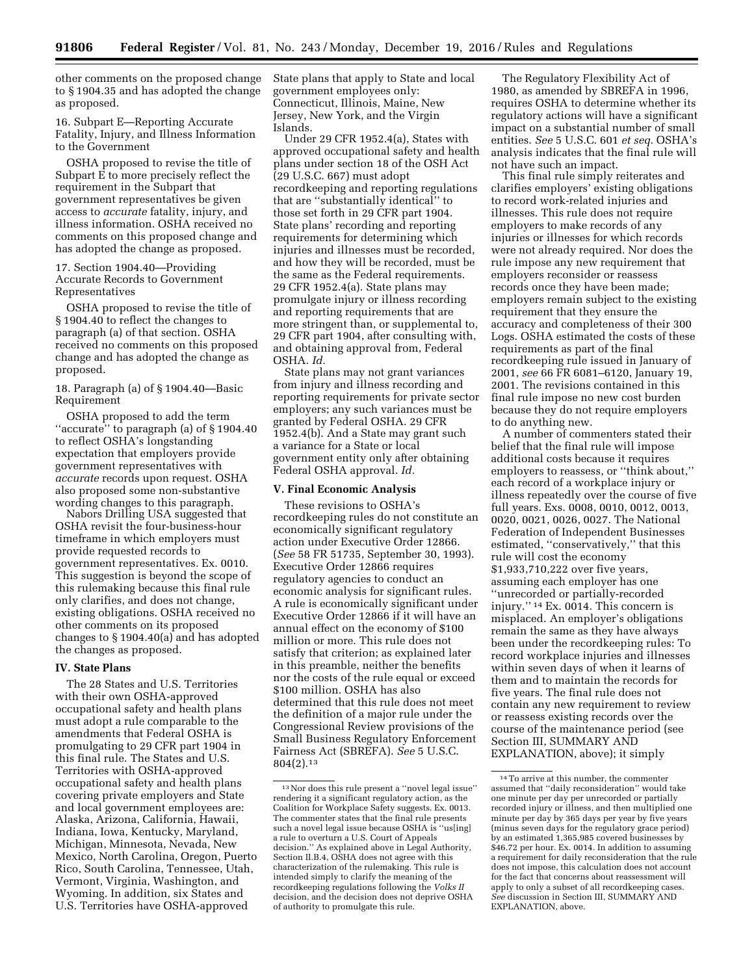other comments on the proposed change to § 1904.35 and has adopted the change as proposed.

16. Subpart E—Reporting Accurate Fatality, Injury, and Illness Information to the Government

OSHA proposed to revise the title of Subpart E to more precisely reflect the requirement in the Subpart that government representatives be given access to *accurate* fatality, injury, and illness information. OSHA received no comments on this proposed change and has adopted the change as proposed.

17. Section 1904.40—Providing Accurate Records to Government Representatives

OSHA proposed to revise the title of § 1904.40 to reflect the changes to paragraph (a) of that section. OSHA received no comments on this proposed change and has adopted the change as proposed.

18. Paragraph (a) of § 1904.40—Basic Requirement

OSHA proposed to add the term ''accurate'' to paragraph (a) of § 1904.40 to reflect OSHA's longstanding expectation that employers provide government representatives with *accurate* records upon request. OSHA also proposed some non-substantive wording changes to this paragraph.

Nabors Drilling USA suggested that OSHA revisit the four-business-hour timeframe in which employers must provide requested records to government representatives. Ex. 0010. This suggestion is beyond the scope of this rulemaking because this final rule only clarifies, and does not change, existing obligations. OSHA received no other comments on its proposed changes to § 1904.40(a) and has adopted the changes as proposed.

## **IV. State Plans**

The 28 States and U.S. Territories with their own OSHA-approved occupational safety and health plans must adopt a rule comparable to the amendments that Federal OSHA is promulgating to 29 CFR part 1904 in this final rule. The States and U.S. Territories with OSHA-approved occupational safety and health plans covering private employers and State and local government employees are: Alaska, Arizona, California, Hawaii, Indiana, Iowa, Kentucky, Maryland, Michigan, Minnesota, Nevada, New Mexico, North Carolina, Oregon, Puerto Rico, South Carolina, Tennessee, Utah, Vermont, Virginia, Washington, and Wyoming. In addition, six States and U.S. Territories have OSHA-approved

State plans that apply to State and local government employees only: Connecticut, Illinois, Maine, New Jersey, New York, and the Virgin Islands.

Under 29 CFR 1952.4(a), States with approved occupational safety and health plans under section 18 of the OSH Act (29 U.S.C. 667) must adopt recordkeeping and reporting regulations that are ''substantially identical'' to those set forth in 29 CFR part 1904. State plans' recording and reporting requirements for determining which injuries and illnesses must be recorded, and how they will be recorded, must be the same as the Federal requirements. 29 CFR 1952.4(a). State plans may promulgate injury or illness recording and reporting requirements that are more stringent than, or supplemental to, 29 CFR part 1904, after consulting with, and obtaining approval from, Federal OSHA. *Id.* 

State plans may not grant variances from injury and illness recording and reporting requirements for private sector employers; any such variances must be granted by Federal OSHA. 29 CFR 1952.4(b). And a State may grant such a variance for a State or local government entity only after obtaining Federal OSHA approval. *Id.* 

#### **V. Final Economic Analysis**

These revisions to OSHA's recordkeeping rules do not constitute an economically significant regulatory action under Executive Order 12866. (*See* 58 FR 51735, September 30, 1993). Executive Order 12866 requires regulatory agencies to conduct an economic analysis for significant rules. A rule is economically significant under Executive Order 12866 if it will have an annual effect on the economy of \$100 million or more. This rule does not satisfy that criterion; as explained later in this preamble, neither the benefits nor the costs of the rule equal or exceed \$100 million. OSHA has also determined that this rule does not meet the definition of a major rule under the Congressional Review provisions of the Small Business Regulatory Enforcement Fairness Act (SBREFA). *See* 5 U.S.C. 804(2).13

The Regulatory Flexibility Act of 1980, as amended by SBREFA in 1996, requires OSHA to determine whether its regulatory actions will have a significant impact on a substantial number of small entities. *See* 5 U.S.C. 601 *et seq.* OSHA's analysis indicates that the final rule will not have such an impact.

This final rule simply reiterates and clarifies employers' existing obligations to record work-related injuries and illnesses. This rule does not require employers to make records of any injuries or illnesses for which records were not already required. Nor does the rule impose any new requirement that employers reconsider or reassess records once they have been made; employers remain subject to the existing requirement that they ensure the accuracy and completeness of their 300 Logs. OSHA estimated the costs of these requirements as part of the final recordkeeping rule issued in January of 2001, *see* 66 FR 6081–6120, January 19, 2001. The revisions contained in this final rule impose no new cost burden because they do not require employers to do anything new.

A number of commenters stated their belief that the final rule will impose additional costs because it requires employers to reassess, or ''think about,'' each record of a workplace injury or illness repeatedly over the course of five full years. Exs. 0008, 0010, 0012, 0013, 0020, 0021, 0026, 0027. The National Federation of Independent Businesses estimated, ''conservatively,'' that this rule will cost the economy \$1,933,710,222 over five years, assuming each employer has one ''unrecorded or partially-recorded injury.'' 14 Ex. 0014. This concern is misplaced. An employer's obligations remain the same as they have always been under the recordkeeping rules: To record workplace injuries and illnesses within seven days of when it learns of them and to maintain the records for five years. The final rule does not contain any new requirement to review or reassess existing records over the course of the maintenance period (see Section III, SUMMARY AND EXPLANATION, above); it simply

<sup>13</sup>Nor does this rule present a ''novel legal issue'' rendering it a significant regulatory action, as the Coalition for Workplace Safety suggests. Ex. 0013. The commenter states that the final rule presents such a novel legal issue because OSHA is ''us[ing] a rule to overturn a U.S. Court of Appeals decision.'' As explained above in Legal Authority, Section II.B.4, OSHA does not agree with this characterization of the rulemaking. This rule is intended simply to clarify the meaning of the recordkeeping regulations following the *Volks II*  decision, and the decision does not deprive OSHA of authority to promulgate this rule.

<sup>14</sup>To arrive at this number, the commenter assumed that ''daily reconsideration'' would take one minute per day per unrecorded or partially recorded injury or illness, and then multiplied one minute per day by 365 days per year by five years (minus seven days for the regulatory grace period) by an estimated 1,365,985 covered businesses by \$46.72 per hour. Ex. 0014. In addition to assuming a requirement for daily reconsideration that the rule does not impose, this calculation does not account for the fact that concerns about reassessment will apply to only a subset of all recordkeeping cases. *See* discussion in Section III, SUMMARY AND EXPLANATION, above.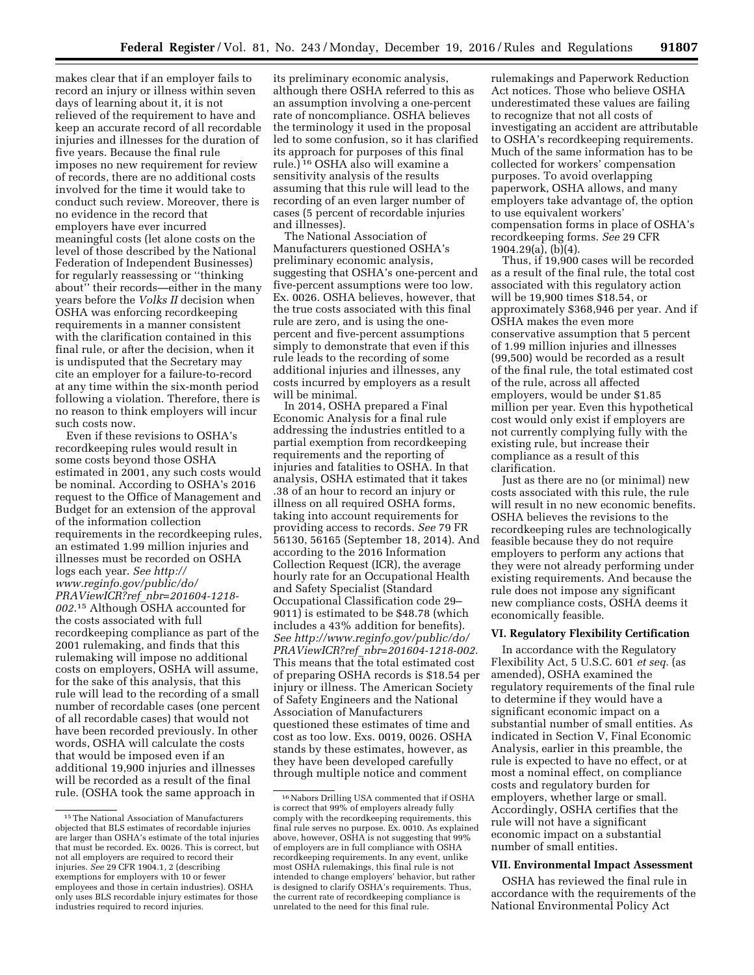makes clear that if an employer fails to record an injury or illness within seven days of learning about it, it is not relieved of the requirement to have and keep an accurate record of all recordable injuries and illnesses for the duration of five years. Because the final rule imposes no new requirement for review of records, there are no additional costs involved for the time it would take to conduct such review. Moreover, there is no evidence in the record that employers have ever incurred meaningful costs (let alone costs on the level of those described by the National Federation of Independent Businesses) for regularly reassessing or ''thinking about'' their records—either in the many years before the *Volks II* decision when OSHA was enforcing recordkeeping requirements in a manner consistent with the clarification contained in this final rule, or after the decision, when it is undisputed that the Secretary may cite an employer for a failure-to-record at any time within the six-month period following a violation. Therefore, there is no reason to think employers will incur such costs now.

Even if these revisions to OSHA's recordkeeping rules would result in some costs beyond those OSHA estimated in 2001, any such costs would be nominal. According to OSHA's 2016 request to the Office of Management and Budget for an extension of the approval of the information collection requirements in the recordkeeping rules, an estimated 1.99 million injuries and illnesses must be recorded on OSHA logs each year. *See [http://](http://www.reginfo.gov/public/do/PRAViewICR?ref_nbr=201604-1218-002.15) [www.reginfo.gov/public/do/](http://www.reginfo.gov/public/do/PRAViewICR?ref_nbr=201604-1218-002.15) PRAViewICR?ref*\_*[nbr=201604-1218-](http://www.reginfo.gov/public/do/PRAViewICR?ref_nbr=201604-1218-002.15) [002](http://www.reginfo.gov/public/do/PRAViewICR?ref_nbr=201604-1218-002.15)*.15 Although OSHA accounted for the costs associated with full recordkeeping compliance as part of the 2001 rulemaking, and finds that this rulemaking will impose no additional costs on employers, OSHA will assume, for the sake of this analysis, that this rule will lead to the recording of a small number of recordable cases (one percent of all recordable cases) that would not have been recorded previously. In other words, OSHA will calculate the costs that would be imposed even if an additional 19,900 injuries and illnesses will be recorded as a result of the final rule. (OSHA took the same approach in

its preliminary economic analysis, although there OSHA referred to this as an assumption involving a one-percent rate of noncompliance. OSHA believes the terminology it used in the proposal led to some confusion, so it has clarified its approach for purposes of this final rule.) 16 OSHA also will examine a sensitivity analysis of the results assuming that this rule will lead to the recording of an even larger number of cases (5 percent of recordable injuries and illnesses).

The National Association of Manufacturers questioned OSHA's preliminary economic analysis, suggesting that OSHA's one-percent and five-percent assumptions were too low. Ex. 0026. OSHA believes, however, that the true costs associated with this final rule are zero, and is using the onepercent and five-percent assumptions simply to demonstrate that even if this rule leads to the recording of some additional injuries and illnesses, any costs incurred by employers as a result will be minimal.

In 2014, OSHA prepared a Final Economic Analysis for a final rule addressing the industries entitled to a partial exemption from recordkeeping requirements and the reporting of injuries and fatalities to OSHA. In that analysis, OSHA estimated that it takes .38 of an hour to record an injury or illness on all required OSHA forms, taking into account requirements for providing access to records. *See* 79 FR 56130, 56165 (September 18, 2014). And according to the 2016 Information Collection Request (ICR), the average hourly rate for an Occupational Health and Safety Specialist (Standard Occupational Classification code 29– 9011) is estimated to be \$48.78 (which includes a 43% addition for benefits). *See [http://www.reginfo.gov/public/do/](http://www.reginfo.gov/public/do/PRAViewICR?ref_nbr=201604-1218-002) PRAViewICR?ref*\_*[nbr=201604-1218-002](http://www.reginfo.gov/public/do/PRAViewICR?ref_nbr=201604-1218-002)*. This means that the total estimated cost of preparing OSHA records is \$18.54 per injury or illness. The American Society of Safety Engineers and the National Association of Manufacturers questioned these estimates of time and cost as too low. Exs. 0019, 0026. OSHA stands by these estimates, however, as they have been developed carefully through multiple notice and comment

rulemakings and Paperwork Reduction Act notices. Those who believe OSHA underestimated these values are failing to recognize that not all costs of investigating an accident are attributable to OSHA's recordkeeping requirements. Much of the same information has to be collected for workers' compensation purposes. To avoid overlapping paperwork, OSHA allows, and many employers take advantage of, the option to use equivalent workers' compensation forms in place of OSHA's recordkeeping forms. *See* 29 CFR 1904.29(a), (b)(4).

Thus, if 19,900 cases will be recorded as a result of the final rule, the total cost associated with this regulatory action will be 19,900 times \$18.54, or approximately \$368,946 per year. And if OSHA makes the even more conservative assumption that 5 percent of 1.99 million injuries and illnesses (99,500) would be recorded as a result of the final rule, the total estimated cost of the rule, across all affected employers, would be under \$1.85 million per year. Even this hypothetical cost would only exist if employers are not currently complying fully with the existing rule, but increase their compliance as a result of this clarification.

Just as there are no (or minimal) new costs associated with this rule, the rule will result in no new economic benefits. OSHA believes the revisions to the recordkeeping rules are technologically feasible because they do not require employers to perform any actions that they were not already performing under existing requirements. And because the rule does not impose any significant new compliance costs, OSHA deems it economically feasible.

## **VI. Regulatory Flexibility Certification**

In accordance with the Regulatory Flexibility Act, 5 U.S.C. 601 *et seq.* (as amended), OSHA examined the regulatory requirements of the final rule to determine if they would have a significant economic impact on a substantial number of small entities. As indicated in Section V, Final Economic Analysis, earlier in this preamble, the rule is expected to have no effect, or at most a nominal effect, on compliance costs and regulatory burden for employers, whether large or small. Accordingly, OSHA certifies that the rule will not have a significant economic impact on a substantial number of small entities.

# **VII. Environmental Impact Assessment**

OSHA has reviewed the final rule in accordance with the requirements of the National Environmental Policy Act

<sup>15</sup>The National Association of Manufacturers objected that BLS estimates of recordable injuries are larger than OSHA's estimate of the total injuries that must be recorded. Ex. 0026. This is correct, but not all employers are required to record their injuries. *See* 29 CFR 1904.1, 2 (describing exemptions for employers with 10 or fewer employees and those in certain industries). OSHA only uses BLS recordable injury estimates for those industries required to record injuries.

 $^{16}\rm{Nabors}$  Drilling USA commented that if OSHA is correct that 99% of employers already fully comply with the recordkeeping requirements, this final rule serves no purpose. Ex. 0010. As explained above, however, OSHA is not suggesting that 99% of employers are in full compliance with OSHA recordkeeping requirements. In any event, unlike most OSHA rulemakings, this final rule is not intended to change employers' behavior, but rather is designed to clarify OSHA's requirements. Thus, the current rate of recordkeeping compliance is unrelated to the need for this final rule.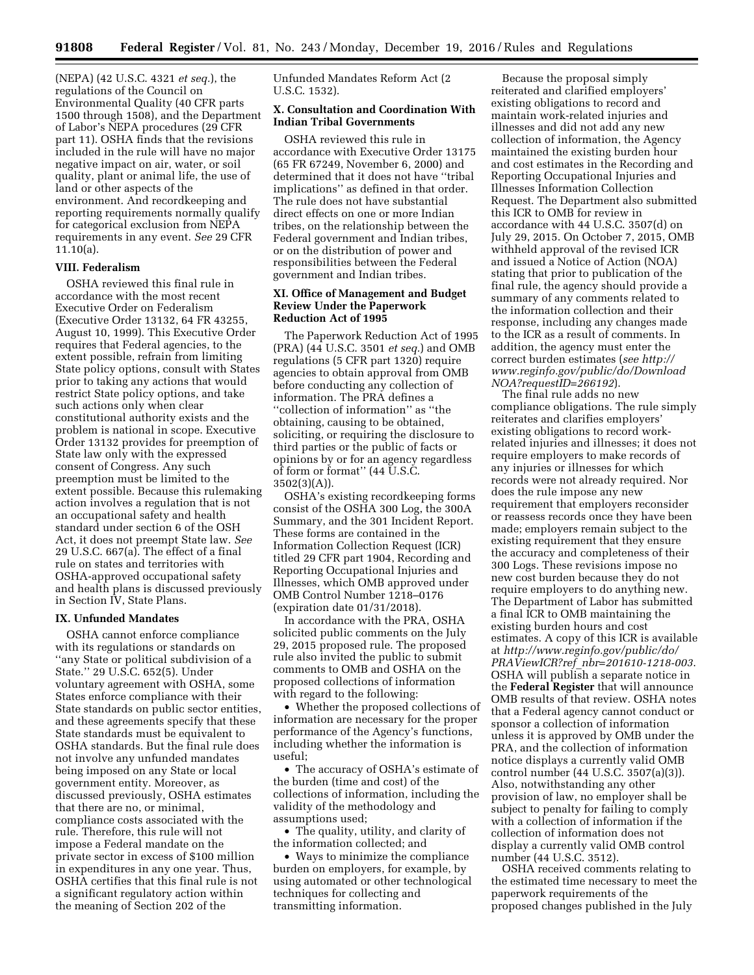(NEPA) (42 U.S.C. 4321 *et seq.*), the regulations of the Council on Environmental Quality (40 CFR parts 1500 through 1508), and the Department of Labor's NEPA procedures (29 CFR part 11). OSHA finds that the revisions included in the rule will have no major negative impact on air, water, or soil quality, plant or animal life, the use of land or other aspects of the environment. And recordkeeping and reporting requirements normally qualify for categorical exclusion from NEPA requirements in any event. *See* 29 CFR 11.10(a).

# **VIII. Federalism**

OSHA reviewed this final rule in accordance with the most recent Executive Order on Federalism (Executive Order 13132, 64 FR 43255, August 10, 1999). This Executive Order requires that Federal agencies, to the extent possible, refrain from limiting State policy options, consult with States prior to taking any actions that would restrict State policy options, and take such actions only when clear constitutional authority exists and the problem is national in scope. Executive Order 13132 provides for preemption of State law only with the expressed consent of Congress. Any such preemption must be limited to the extent possible. Because this rulemaking action involves a regulation that is not an occupational safety and health standard under section 6 of the OSH Act, it does not preempt State law. *See*  29 U.S.C. 667(a). The effect of a final rule on states and territories with OSHA-approved occupational safety and health plans is discussed previously in Section IV, State Plans.

#### **IX. Unfunded Mandates**

OSHA cannot enforce compliance with its regulations or standards on ''any State or political subdivision of a State.'' 29 U.S.C. 652(5). Under voluntary agreement with OSHA, some States enforce compliance with their State standards on public sector entities, and these agreements specify that these State standards must be equivalent to OSHA standards. But the final rule does not involve any unfunded mandates being imposed on any State or local government entity. Moreover, as discussed previously, OSHA estimates that there are no, or minimal, compliance costs associated with the rule. Therefore, this rule will not impose a Federal mandate on the private sector in excess of \$100 million in expenditures in any one year. Thus, OSHA certifies that this final rule is not a significant regulatory action within the meaning of Section 202 of the

Unfunded Mandates Reform Act (2 U.S.C. 1532).

## **X. Consultation and Coordination With Indian Tribal Governments**

OSHA reviewed this rule in accordance with Executive Order 13175 (65 FR 67249, November 6, 2000) and determined that it does not have ''tribal implications'' as defined in that order. The rule does not have substantial direct effects on one or more Indian tribes, on the relationship between the Federal government and Indian tribes, or on the distribution of power and responsibilities between the Federal government and Indian tribes.

## **XI. Office of Management and Budget Review Under the Paperwork Reduction Act of 1995**

The Paperwork Reduction Act of 1995 (PRA) (44 U.S.C. 3501 *et seq.*) and OMB regulations (5 CFR part 1320) require agencies to obtain approval from OMB before conducting any collection of information. The PRA defines a ''collection of information'' as ''the obtaining, causing to be obtained, soliciting, or requiring the disclosure to third parties or the public of facts or opinions by or for an agency regardless of form or format'' (44 U.S.C.  $3502(3)(A)$ ).

OSHA's existing recordkeeping forms consist of the OSHA 300 Log, the 300A Summary, and the 301 Incident Report. These forms are contained in the Information Collection Request (ICR) titled 29 CFR part 1904, Recording and Reporting Occupational Injuries and Illnesses, which OMB approved under OMB Control Number 1218–0176 (expiration date 01/31/2018).

In accordance with the PRA, OSHA solicited public comments on the July 29, 2015 proposed rule. The proposed rule also invited the public to submit comments to OMB and OSHA on the proposed collections of information with regard to the following:

• Whether the proposed collections of information are necessary for the proper performance of the Agency's functions, including whether the information is useful;

• The accuracy of OSHA's estimate of the burden (time and cost) of the collections of information, including the validity of the methodology and assumptions used;

• The quality, utility, and clarity of the information collected; and

• Ways to minimize the compliance burden on employers, for example, by using automated or other technological techniques for collecting and transmitting information.

Because the proposal simply reiterated and clarified employers' existing obligations to record and maintain work-related injuries and illnesses and did not add any new collection of information, the Agency maintained the existing burden hour and cost estimates in the Recording and Reporting Occupational Injuries and Illnesses Information Collection Request. The Department also submitted this ICR to OMB for review in accordance with 44 U.S.C. 3507(d) on July 29, 2015. On October 7, 2015, OMB withheld approval of the revised ICR and issued a Notice of Action (NOA) stating that prior to publication of the final rule, the agency should provide a summary of any comments related to the information collection and their response, including any changes made to the ICR as a result of comments. In addition, the agency must enter the correct burden estimates (*see [http://](http://www.reginfo.gov/public/do/DownloadNOA?requestID=266192) [www.reginfo.gov/public/do/Download](http://www.reginfo.gov/public/do/DownloadNOA?requestID=266192) [NOA?requestID=266192](http://www.reginfo.gov/public/do/DownloadNOA?requestID=266192)*).

The final rule adds no new compliance obligations. The rule simply reiterates and clarifies employers' existing obligations to record workrelated injuries and illnesses; it does not require employers to make records of any injuries or illnesses for which records were not already required. Nor does the rule impose any new requirement that employers reconsider or reassess records once they have been made; employers remain subject to the existing requirement that they ensure the accuracy and completeness of their 300 Logs. These revisions impose no new cost burden because they do not require employers to do anything new. The Department of Labor has submitted a final ICR to OMB maintaining the existing burden hours and cost estimates. A copy of this ICR is available at *[http://www.reginfo.gov/public/do/](http://www.reginfo.gov/public/do/PRAViewICR?ref_nbr=201610-1218-003) PRAViewICR?ref*\_*[nbr=201610-1218-003](http://www.reginfo.gov/public/do/PRAViewICR?ref_nbr=201610-1218-003)*. OSHA will publish a separate notice in the **Federal Register** that will announce OMB results of that review. OSHA notes that a Federal agency cannot conduct or sponsor a collection of information unless it is approved by OMB under the PRA, and the collection of information notice displays a currently valid OMB control number (44 U.S.C. 3507(a)(3)). Also, notwithstanding any other provision of law, no employer shall be subject to penalty for failing to comply with a collection of information if the collection of information does not display a currently valid OMB control number (44 U.S.C. 3512).

OSHA received comments relating to the estimated time necessary to meet the paperwork requirements of the proposed changes published in the July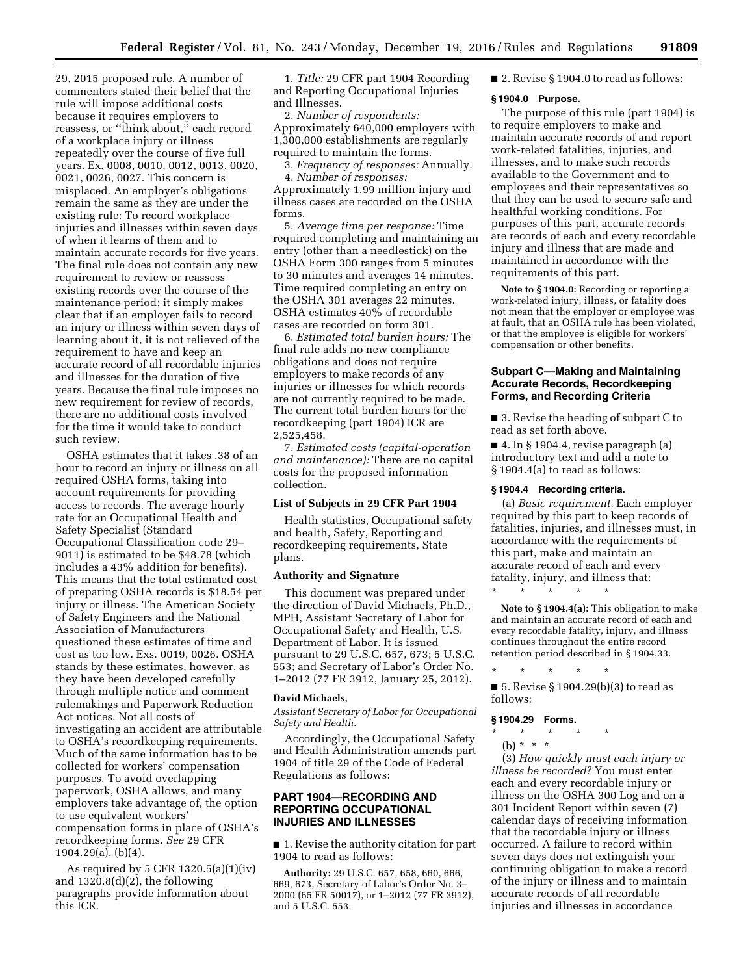29, 2015 proposed rule. A number of commenters stated their belief that the rule will impose additional costs because it requires employers to reassess, or ''think about,'' each record of a workplace injury or illness repeatedly over the course of five full years. Ex. 0008, 0010, 0012, 0013, 0020, 0021, 0026, 0027. This concern is misplaced. An employer's obligations remain the same as they are under the existing rule: To record workplace injuries and illnesses within seven days of when it learns of them and to maintain accurate records for five years. The final rule does not contain any new requirement to review or reassess existing records over the course of the maintenance period; it simply makes clear that if an employer fails to record an injury or illness within seven days of learning about it, it is not relieved of the requirement to have and keep an accurate record of all recordable injuries and illnesses for the duration of five years. Because the final rule imposes no new requirement for review of records, there are no additional costs involved for the time it would take to conduct such review.

OSHA estimates that it takes .38 of an hour to record an injury or illness on all required OSHA forms, taking into account requirements for providing access to records. The average hourly rate for an Occupational Health and Safety Specialist (Standard Occupational Classification code 29– 9011) is estimated to be \$48.78 (which includes a 43% addition for benefits). This means that the total estimated cost of preparing OSHA records is \$18.54 per injury or illness. The American Society of Safety Engineers and the National Association of Manufacturers questioned these estimates of time and cost as too low. Exs. 0019, 0026. OSHA stands by these estimates, however, as they have been developed carefully through multiple notice and comment rulemakings and Paperwork Reduction Act notices. Not all costs of investigating an accident are attributable to OSHA's recordkeeping requirements. Much of the same information has to be collected for workers' compensation purposes. To avoid overlapping paperwork, OSHA allows, and many employers take advantage of, the option to use equivalent workers' compensation forms in place of OSHA's recordkeeping forms. *See* 29 CFR 1904.29(a), (b)(4).

As required by 5 CFR 1320.5(a)(1)(iv) and 1320.8(d)(2), the following paragraphs provide information about this ICR.

1. *Title:* 29 CFR part 1904 Recording and Reporting Occupational Injuries and Illnesses.

2. *Number of respondents:*  Approximately 640,000 employers with 1,300,000 establishments are regularly required to maintain the forms.

3. *Frequency of responses:* Annually. 4. *Number of responses:*  Approximately 1.99 million injury and

illness cases are recorded on the OSHA forms.

5. *Average time per response:* Time required completing and maintaining an entry (other than a needlestick) on the OSHA Form 300 ranges from 5 minutes to 30 minutes and averages 14 minutes. Time required completing an entry on the OSHA 301 averages 22 minutes. OSHA estimates 40% of recordable cases are recorded on form 301.

6. *Estimated total burden hours:* The final rule adds no new compliance obligations and does not require employers to make records of any injuries or illnesses for which records are not currently required to be made. The current total burden hours for the recordkeeping (part 1904) ICR are 2,525,458.

7. *Estimated costs (capital-operation and maintenance):* There are no capital costs for the proposed information collection.

#### **List of Subjects in 29 CFR Part 1904**

Health statistics, Occupational safety and health, Safety, Reporting and recordkeeping requirements, State plans.

## **Authority and Signature**

This document was prepared under the direction of David Michaels, Ph.D., MPH, Assistant Secretary of Labor for Occupational Safety and Health, U.S. Department of Labor. It is issued pursuant to 29 U.S.C. 657, 673; 5 U.S.C. 553; and Secretary of Labor's Order No. 1–2012 (77 FR 3912, January 25, 2012).

#### **David Michaels,**

*Assistant Secretary of Labor for Occupational Safety and Health.* 

Accordingly, the Occupational Safety and Health Administration amends part 1904 of title 29 of the Code of Federal Regulations as follows:

# **PART 1904—RECORDING AND REPORTING OCCUPATIONAL INJURIES AND ILLNESSES**

■ 1. Revise the authority citation for part 1904 to read as follows:

**Authority:** 29 U.S.C. 657, 658, 660, 666, 669, 673, Secretary of Labor's Order No. 3– 2000 (65 FR 50017), or 1–2012 (77 FR 3912), and 5 U.S.C. 553.

■ 2. Revise § 1904.0 to read as follows:

# **§ 1904.0 Purpose.**

The purpose of this rule (part 1904) is to require employers to make and maintain accurate records of and report work-related fatalities, injuries, and illnesses, and to make such records available to the Government and to employees and their representatives so that they can be used to secure safe and healthful working conditions. For purposes of this part, accurate records are records of each and every recordable injury and illness that are made and maintained in accordance with the requirements of this part.

**Note to § 1904.0:** Recording or reporting a work-related injury, illness, or fatality does not mean that the employer or employee was at fault, that an OSHA rule has been violated, or that the employee is eligible for workers' compensation or other benefits.

# **Subpart C—Making and Maintaining Accurate Records, Recordkeeping Forms, and Recording Criteria**

■ 3. Revise the heading of subpart C to read as set forth above.

 $\blacksquare$  4. In § 1904.4, revise paragraph (a) introductory text and add a note to § 1904.4(a) to read as follows:

#### **§ 1904.4 Recording criteria.**

(a) *Basic requirement.* Each employer required by this part to keep records of fatalities, injuries, and illnesses must, in accordance with the requirements of this part, make and maintain an accurate record of each and every fatality, injury, and illness that: \* \* \* \* \*

**Note to § 1904.4(a):** This obligation to make and maintain an accurate record of each and every recordable fatality, injury, and illness continues throughout the entire record retention period described in § 1904.33.

\* \* \* \* \*

■ 5. Revise § 1904.29(b)(3) to read as follows:

#### **§ 1904.29 Forms.**

- \* \* \* \* \*
	- (b) \* \* \*

(3) *How quickly must each injury or illness be recorded?* You must enter each and every recordable injury or illness on the OSHA 300 Log and on a 301 Incident Report within seven (7) calendar days of receiving information that the recordable injury or illness occurred. A failure to record within seven days does not extinguish your continuing obligation to make a record of the injury or illness and to maintain accurate records of all recordable injuries and illnesses in accordance